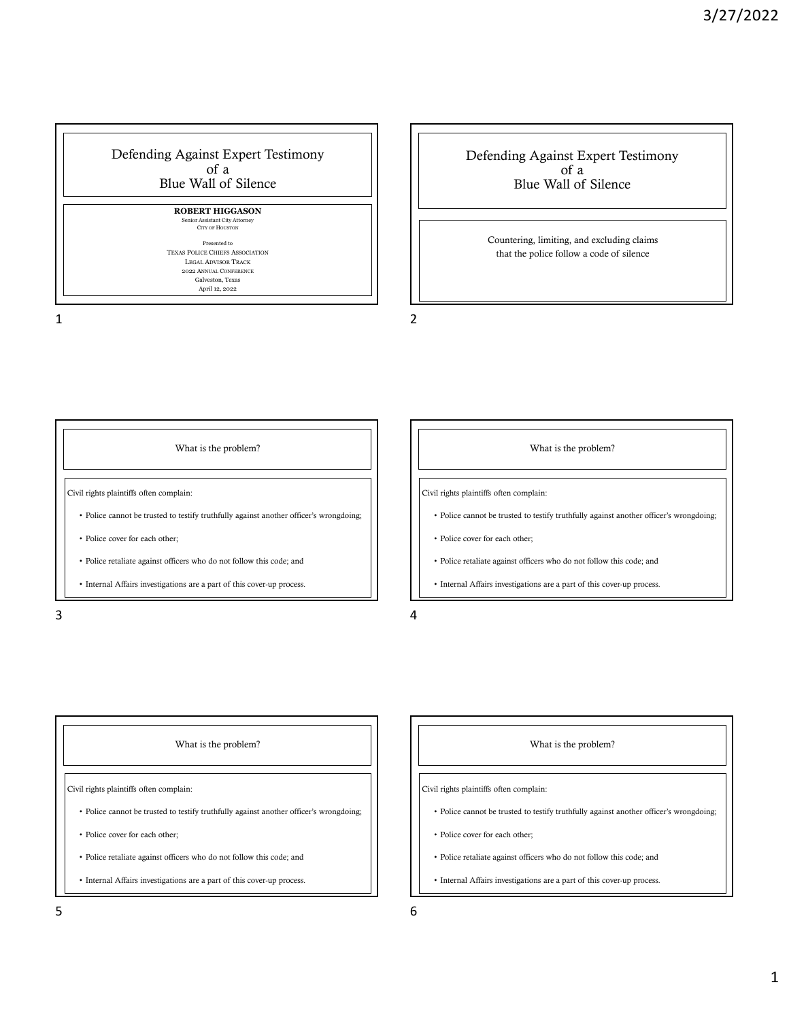









| What is the problem?                                                                   |
|----------------------------------------------------------------------------------------|
| Civil rights plaintiffs often complain:                                                |
| • Police cannot be trusted to testify truthfully against another officer's wrongdoing. |
| • Police cover for each other;                                                         |
| • Police retaliate against officers who do not follow this code; and                   |
| • Internal Affairs investigations are a part of this cover-up process.                 |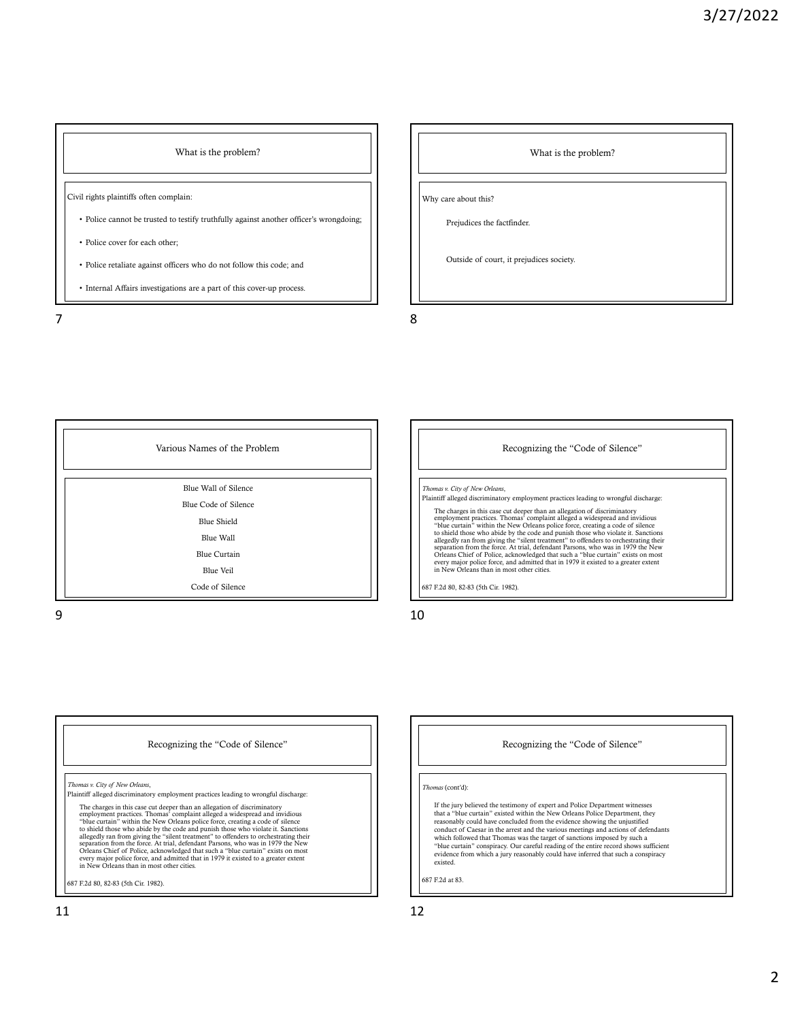

| What is the problem?                     |
|------------------------------------------|
|                                          |
| Why care about this?                     |
| Prejudices the factfinder.               |
| Outside of court, it prejudices society. |
|                                          |

| Various Names of the Problem |
|------------------------------|
| Blue Wall of Silence         |
| Blue Code of Silence         |
| <b>Blue Shield</b>           |
| Blue Wall                    |
| <b>Blue Curtain</b>          |
| Blue Veil                    |
| Code of Silence              |









687 F.2d at 83.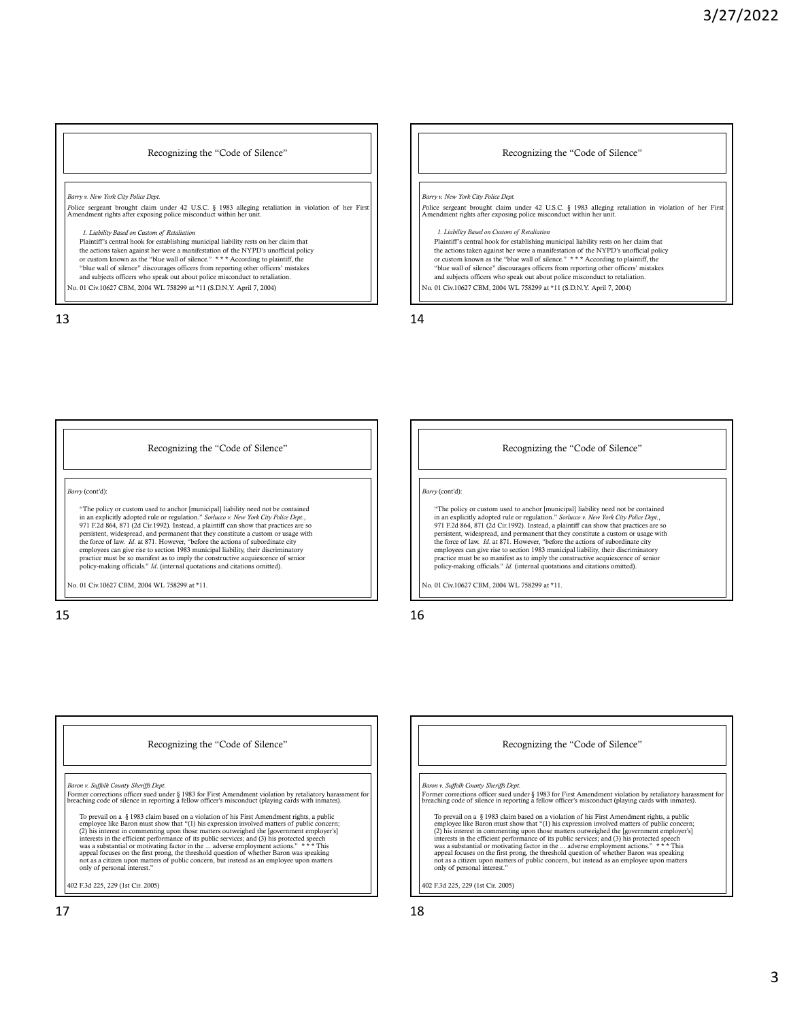# Recognizing the "Code of Silence"

Recognizing the "Code of Silence"

*P*olice sergeant brought claim under 42 U.S.C. § 1983 alleging retaliation in violation of her First Amendment rights after exposing police misconduct within her unit.

 $13$  and  $14$ 

Plaintiff's central hook for establishing municipal liability rests on her claim that the actions taken against her were a manifestation of the NYPD's unofficial policy or custom known as the "blue wall of silence." \* \* \* According to plaintiff, the "blue wall of silence" discourages officers from reporting other officers' mistakes and subjects officers who speak out about police misconduct to retaliation. No. 01 Civ.10627 CBM, 2004 WL 758299 at \*11 (S.D.N.Y. April 7, 2004)

*Barry* (cont'd):

*Barry v. New York City Police Dept.*

*1. Liability Based on Custom of Retaliation*

"The policy or custom used to anchor [municipal] liability need not be contained in an explicitly adopted rule or regulation." Sorhaco v. New York City Police Dept., 971 F.2d 864, 871 (2d Cir. 1992). Instead, a plaintiff employees can give rise to section 1983 municipal liability, their discriminatory<br>practice must be so manifest as to imply the constructive acquiescence of senior<br>policy-making officials." Id. (internal quotations and cita

No. 01 Civ.10627 CBM, 2004 WL 758299 at \*11.

 $15$  and  $16$ 

Recognizing the "Code of Silence"

Recognizing the "Code of Silence"

*P*olice sergeant brought claim under 42 U.S.C. § 1983 alleging retaliation in violation of her First Amendment rights after exposing police misconduct within her unit.

Plaintiff's central hook for establishing municipal liability rests on her claim that the actions taken against her were a manifestation of the NYPD's unofficial policy or custom known as the "blue wall of silence." \* \* \* According to plaintiff, the "blue wall of silence" discourages officers from reporting other officers' mistakes and subjects officers who speak out about police misconduct to retaliation. No. 01 Civ.10627 CBM, 2004 WL 758299 at \*11 (S.D.N.Y. April 7, 2004)

*Barry* (cont'd):

*Barry v. New York City Police Dept.*

*1. Liability Based on Custom of Retaliation*

"The policy or custom used to anchor [municipal] liability need not be contained in an explicitly adopted rule or regulation." *Sorlucco v. New York City Police Dept.*, 971 F.2d 864, 871 (2d Cir.1992). Instead, a plaintiff can show that practices are so persistent, widespread, and permanent that they constitute a custom or usage with the force of law. *Id.* at 871. However, "before the a employees can give rise to section 1983 municipal liability, their discriminatory practice must be so manifest as to imply the constructive acquiescence of senior policy-making officials." *Id*. (internal quotations and citations omitted).

No. 01 Civ.10627 CBM, 2004 WL 758299 at \*11.







402 F.3d 225, 229 (1st Cir. 2005)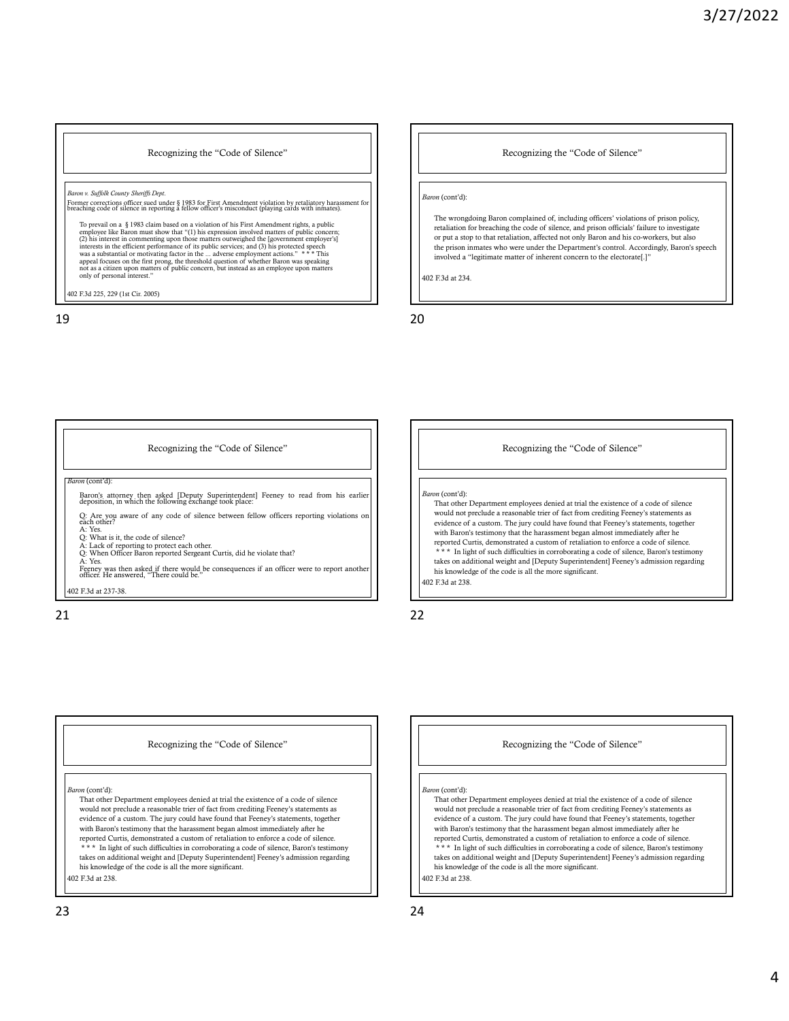# Recognizing the "Code of Silence"

*Baron v. Suffolk County Sheriffs Dept*.

Former corrections officer sued under § 1983 for First Amendment violation by retaliatory harassment for breaching code of silence in reporting a fellow officer's misconduct (playing cards with inmates).

To prevail on a § 1983 claim based on a violation of his First Amendment rights, a public employee like Baron must show that "(1) his expression involved matters of public concern; (2) his interest in commenting upon thos

402 F.3d 225, 229 (1st Cir. 2005)

Recognizing the "Code of Silence"

# *Baron* (cont'd):

The wrongdoing Baron complained of, including officers' violations of prison policy, retaliation for breaching the code of silence, and prison officials' failure to investigate or put a stop to that retaliation, affected not only Baron and his co-workers, but also the prison inmates who were under the Department's control. Accordingly, Baron's speech involved a "legitimate matter of inherent concern to the electorate[.]"

402 F.3d at 234.

 $19$  20

Recognizing the "Code of Silence" *Baron* (cont'd) Baron's attorney then asked [Deputy Superintendent] Feeney to read from his earlier deposition, in which the following exchange took place: Q: Are you aware of any code of silence between fellow officers reporting violations on each other? A: Yes. Q: What is it, the code of silence? A: Lack of reporting to protect each other.<br>Q: When Officer Baron reported Sergeant Curtis, did he violate that?<br>A: Yes.<br>Feeney was then asked if there would be."<br>officer. He answered, "There could be." 402 F.3d at 237-38. 402 F.3d at 238.

21 22

Recognizing the "Code of Silence" *Baron* (cont'd): That other Department employees denied at trial the existence of a code of silence would not preclude a reasonable trier of fact from crediting Feeney's statements as evidence of a custom. The jury could have found that Feeney's statements, together with Baron's testimony that the harassment began almost immediately after he reported Curtis, demonstrated a custom of retaliation to enforce a code of silence. \* \* \* In light of such difficulties in corroborating a code of silence, Baron's testimony takes on additional weight and [Deputy Superintendent] Feeney's admission regarding his knowledge of the code is all the more significant.





reported Curtis, demonstrated a custom of retaliation to enforce a code of silence. \* \* \* In light of such difficulties in corroborating a code of silence, Baron's testimony takes on additional weight and [Deputy Superintendent] Feeney's admission regarding his knowledge of the code is all the more significant. 402 F.3d at 238.

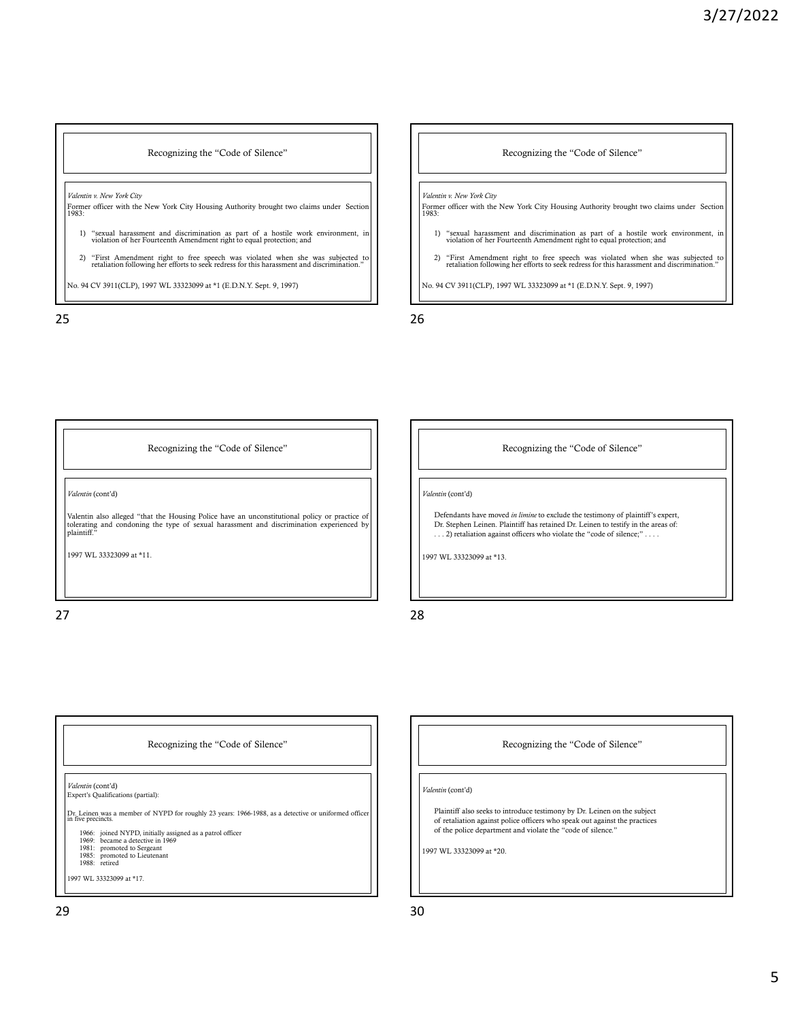

2) "First Amendment right to free speech was violated when she was subjected to retaliation following her efforts to seek redress for this harassment and discrimination."

No. 94 CV 3911(CLP), 1997 WL 33323099 at \*1 (E.D.N.Y. Sept. 9, 1997)

 $25$  25



Recognizing the "Code of Silence" *Valentin* (cont'd) Valentin also alleged "that the Housing Police have an unconstitutional policy or practice of tolerating and condoning the type of sexual harassment and discrimination experienced by plaintiff." 1997 WL 33323099 at \*11.

Recognizing the "Code of Silence"

*Valentin* (cont'd)

Defendants have moved *in limine* to exclude the testimony of plaintiff's expert, Dr. Stephen Leinen. Plaintiff has retained Dr. Leinen to testify in the areas of: . . . 2) retaliation against officers who violate the "code of silence;" . . . .

1997 WL 33323099 at \*13.





Recognizing the "Code of Silence"

*Valentin* (cont'd)

Plaintiff also seeks to introduce testimony by Dr. Leinen on the subject of retaliation against police officers who speak out against the practices of the police department and violate the "code of silence."

1997 WL 33323099 at \*20.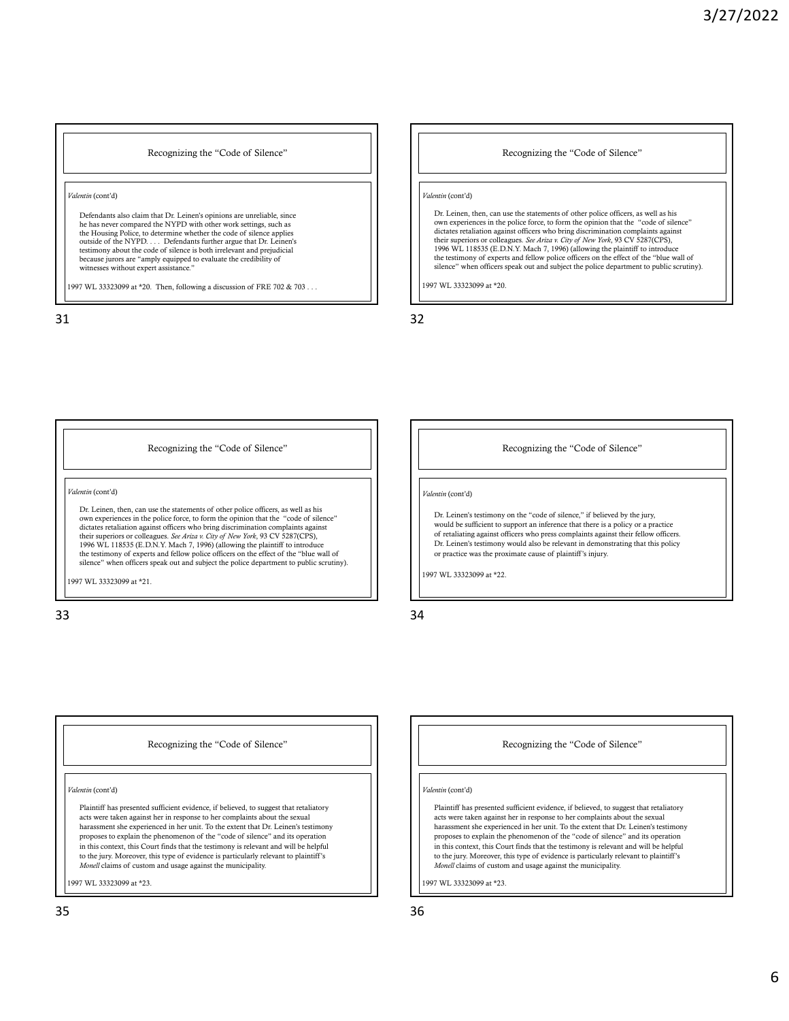# Recognizing the "Code of Silence"

## *Valentin* (cont'd)

Defendants also claim that Dr. Leinen's opinions are unreliable, since he has never compared the NYPD with other work settings, such as the Housing Police, to determine whether the code of silence applies outside of the NYPD. . . . Defendants further argue that Dr. Leinen's testimony about the code of silence is both irrelevant and prejudicial because jurors are "amply equipped to evaluate the credibility of witnesses without expert assistance."

1997 WL 33323099 at \*20. Then, following a discussion of FRE 702 & 703...

31 32

Recognizing the "Code of Silence" *Valentin* (cont'd) Dr. Leinen, then, can use the statements of other police officers, as well as his<br>own experiences in the police force, to form the opinion that the "code of silence"<br>dictates retaliation against officers who bring discrimi their superiors or colleagues. *See Ariza v. City of New York*, 93 CV 5287(CPS), 1996 WL 118535 (E.D.N.Y. Mach 7, 1996) (allowing the plaintiff to introduce the testimony of experts and fellow police officers on the effect of the "blue wall of silence" when officers speak out and subject the police department to public scrutiny).

1997 WL 33323099 at \*20.

Recognizing the "Code of Silence"

*Valentin* (cont'd)

Dr. Leinen, then, can use the statements of other police officers, as well as his own experiences in the police force, to form the opinion that the "code of silence" dictates retaliation against officers who bring discrimination complaints against their superiors or colleagues. *See Ariza v. City of New York*, 93 CV 5287(CPS), 1996 WL 118535 (E.D.N.Y. Mach 7, 1996) (allowing the plaintiff to introduce the testimony of experts and fellow police officers on the effect of the "blue wall of silence" when officers speak out and subject the police department to public scrutiny).

1997 WL 33323099 at \*21.

33 34

Recognizing the "Code of Silence" *Valentin* (cont'd) Dr. Leinen's testimony on the "code of silence," if believed by the jury, would be sufficient to support an inference that there is a policy or a practice of retaliating against officers who press complaints against their fellow officers. Dr. Leinen's testimony would also be relevant in demonstrating that this policy or practice was the proximate cause of plaintiff's injury. 1997 WL 33323099 at \*22.



Recognizing the "Code of Silence"

*Valentin* (cont'd)

Plaintiff has presented sufficient evidence, if believed, to suggest that retaliatory acts were taken against her in response to her complaints about the sexual harassment she experienced in her unit. To the extent that Dr. Leinen's testimony proposes to explain the phenomenon of the "code of silence" and its operation in this context, this Court finds that the testimony is relevant and will be helpful to the jury. Moreover, this type of evidence is particularly relevant to plaintiff's *Monell* claims of custom and usage against the municipality.

1997 WL 33323099 at \*23.



# *Valentin* (cont'd)

Plaintiff has presented sufficient evidence, if believed, to suggest that retaliatory acts were taken against her in response to her complaints about the sexual harassment she experienced in her unit. To the extent that Dr. Leinen's testimony proposes to explain the phenomenon of the "code of silence" and its operation in this context, this Court finds that the testimony is relevant and will be helpful to the jury. Moreover, this type of evidence is particularly relevant to plaintiff's *Monell* claims of custom and usage against the municipality.

1997 WL 33323099 at \*23.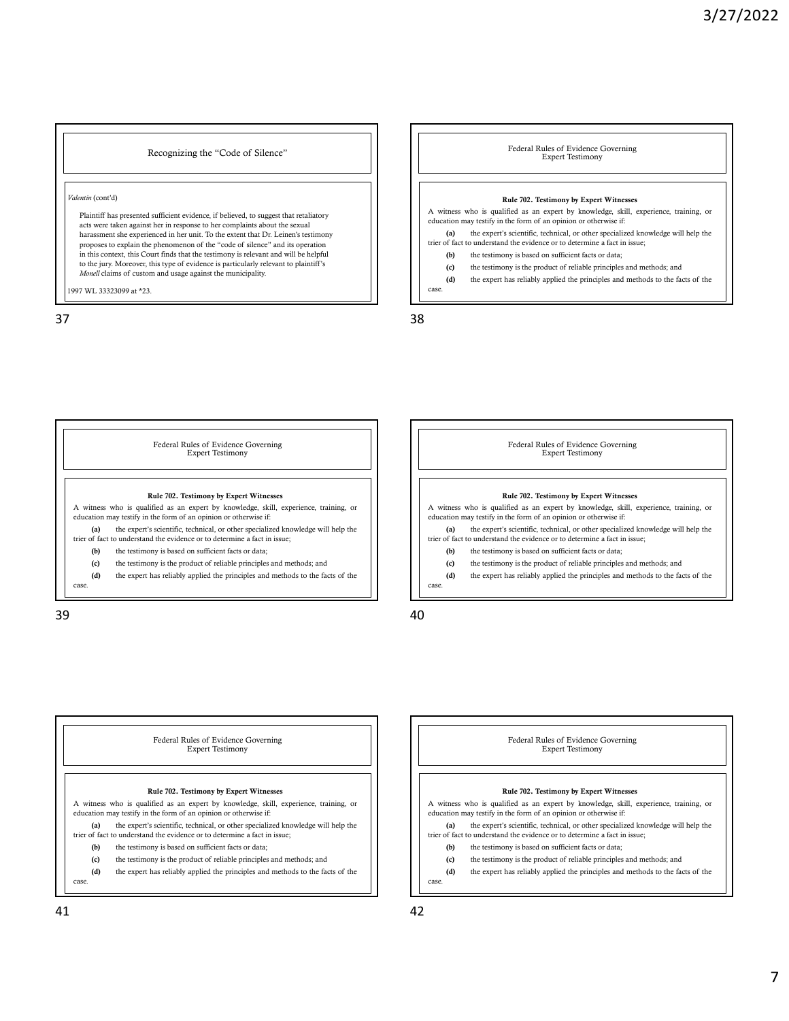# Recognizing the "Code of Silence"

# *Valentin* (cont'd)

Plaintiff has presented sufficient evidence, if believed, to suggest that retaliatory acts were taken against her in response to her complaints about the sexual harassment she experienced in her unit. To the extent that Dr. Leinen's testimony proposes to explain the phenomenon of the "code of silence" and its operation in this context, this Court finds that the testimony is relevant and will be helpful to the jury. Moreover, this type of evidence is particularly relevant to plaintiff's *Monell* claims of custom and usage against the municipality.

1997 WL 33323099 at \*23.

 $37$  38



Federal Rules of Evidence Governing

(d) the expert has reliably applied the principles and methods to the facts of the

case.





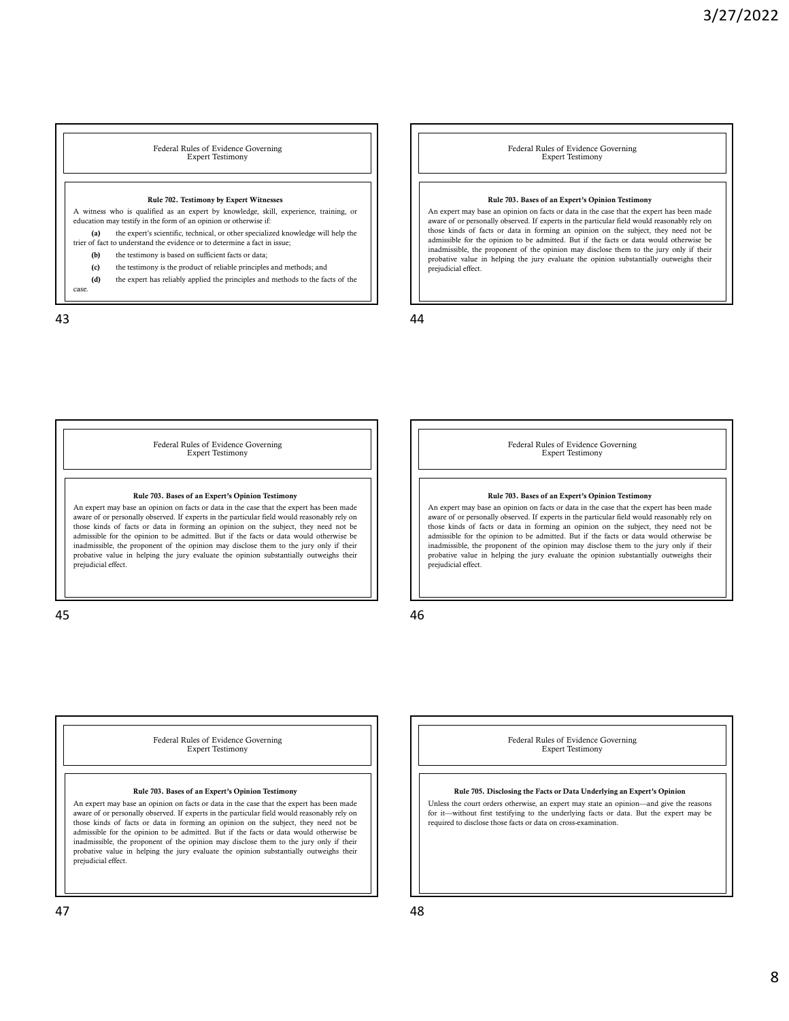

A witness who is qualified as an expert by knowledge, skill, experience, training, or education may testify in the form of an opinion or otherwise if:

(a) the expert's scientific, technical, or other specialized knowledge will help the trier of fact to understand the evidence or to determine a fact in issue;

- (b) the testimony is based on sufficient facts or data;
- (c) the testimony is the product of reliable principles and methods; and
- (d) the expert has reliably applied the principles and methods to the facts of the

case.

43 44

prejudicial effect.

Federal Rules of Evidence Governing Expert Testimony

### Rule 703. Bases of an Expert's Opinion Testimony

An expert may base an opinion on facts or data in the case that the expert has been made aware of or personally observed. If experts in the particular field would reasonably rely on those kinds of facts or data in forming an opinion on the subject, they need not be admissible for the opinion to be admitted. But if the facts or data would otherwise be inadmissible, the proponent of the opinion may disclose them to the jury only if their probative value in helping the jury evaluate the opinion substantially outweighs their prejudicial effect.

 $45$ 

Federal Rules of Evidence Governing Expert Testimony

Federal Rules of Evidence Governing Expert Testimony

Rule 703. Bases of an Expert's Opinion Testimony An expert may base an opinion on facts or data in the case that the expert has been made aware of or personally observed. If experts in the particular field would reasonably rely on those kinds of facts or data in forming an opinion on the subject, they need not be admissible for the opinion to be admitted. But if the facts or data would otherwise be inadmissible, the proponent of the opinion may disclose them to the jury only if their probative value in helping the jury evaluate the opinion substantially outweighs their

### Rule 703. Bases of an Expert's Opinion Testimony

An expert may base an opinion on facts or data in the case that the expert has been made aware of or personally observed. If experts in the particular field would reasonably rely on those kinds of facts or data in forming an opinion on the subject, they need not be admissible for the opinion to be admitted. But if the facts or data would otherwise be inadmissible, the proponent of the opinion may disclose them to the jury only if their probative value in helping the jury evaluate the opinion substantially outweighs their prejudicial effect.

Federal Rules of Evidence Governing Expert Testimony

# Rule 703. Bases of an Expert's Opinion Testimony

An expert may base an opinion on facts or data in the case that the expert has been made aware of or personally observed. If experts in the particular field would reasonably rely on those kinds of facts or data in forming an opinion on the subject, they need not be admissible for the opinion to be admitted. But if the facts or data would otherwise be inadmissible, the proponent of the opinion may disclose them to the jury only if their probative value in helping the jury evaluate the opinion substantially outweighs their prejudicial effect.

Federal Rules of Evidence Governing Expert Testimony

# Rule 705. Disclosing the Facts or Data Underlying an Expert's Opinion

Unless the court orders otherwise, an expert may state an opinion—and give the reasons for it—without first testifying to the underlying facts or data. But the expert may be required to disclose those facts or data on cross-examination.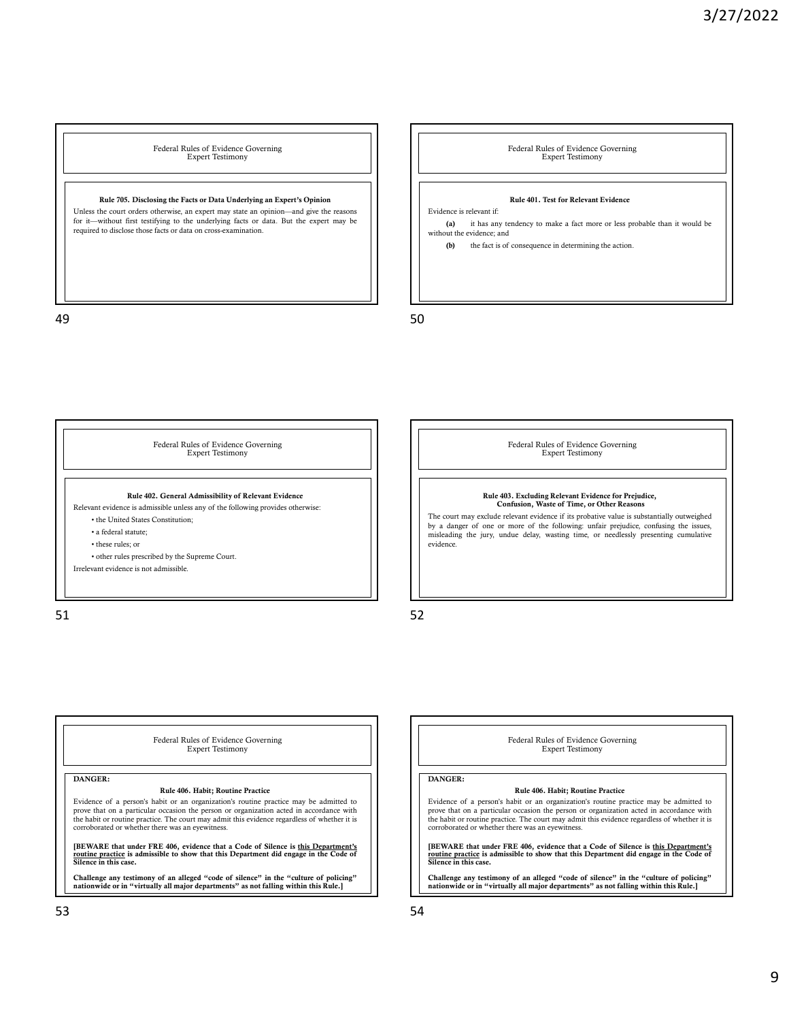Federal Rules of Evidence Governing Expert Testimony

## Rule 705. Disclosing the Facts or Data Underlying an Expert's Opinion

Unless the court orders otherwise, an expert may state an opinion—and give the reasons for it—without first testifying to the underlying facts or data. But the expert may be required to disclose those facts or data on cross-examination.

Federal Rules of Evidence Governing Expert Testimony Rule 401. Test for Relevant Evidence Evidence is relevant if:

(a) it has any tendency to make a fact more or less probable than it would be without the evidence; and

(b) the fact is of consequence in determining the action.

 $49$  50

Federal Rules of Evidence Governing Expert Testimony Rule 402. General Admissibility of Relevant Evidence Relevant evidence is admissible unless any of the following provides otherwise: • the United States Constitution; • a federal statute; • these rules; or • other rules prescribed by the Supreme Court. Irrelevant evidence is not admissible.

 $51$  52

Federal Rules of Evidence Governing Expert Testimony

# Rule 403. Excluding Relevant Evidence for Prejudice, Confusion, Waste of Time, or Other Reasons

The court may exclude relevant evidence if its probative value is substantially outweighed by a danger of one or more of the following: unfair prejudice, confusing the issues, misleading the jury, undue delay, wasting time, or needlessly presenting cumulative evidence.

Federal Rules of Evidence Governing Expert Testimony DANGER: Rule 406. Habit; Routine Practice Evidence of a person's habit or an organization's routine practice may be admitted to prove that on a particular occasion the person or organization acted in accordance with the habit or routine practice. The court may admit this evidence regardless of whether it is corroborated or whether there was an eyewitness. [BEWARE that under FRE 406, evidence that a Code of Silence is <u>this Department's</u><br><u>routine practice</u> is admissible to show that this Department did engage in the Code of<br>Silence in this case. Challenge any testimony of an alleged "code of silence" in the "culture of policing" nationwide or in "virtually all major departments" as not falling within this Rule.]

Federal Rules of Evidence Governing Expert Testimony

DANGER:

# Rule 406. Habit; Routine Practice

Evidence of a person's habit or an organization's routine practice may be admitted to prove that on a particular occasion the person or organization acted in accordance with the habit or routine practice. The court may admit this evidence regardless of whether it is corroborated or whether there was an eyewitness.

[BEWARE that under FRE 406, evidence that a Code of Silence is this Department's routine practice is admissible to show that this Department did engage in the Code of Silence in this case.

Challenge any testimony of an alleged "code of silence" in the "culture of policing" nationwide or in "virtually all major departments" as not falling within this Rule.]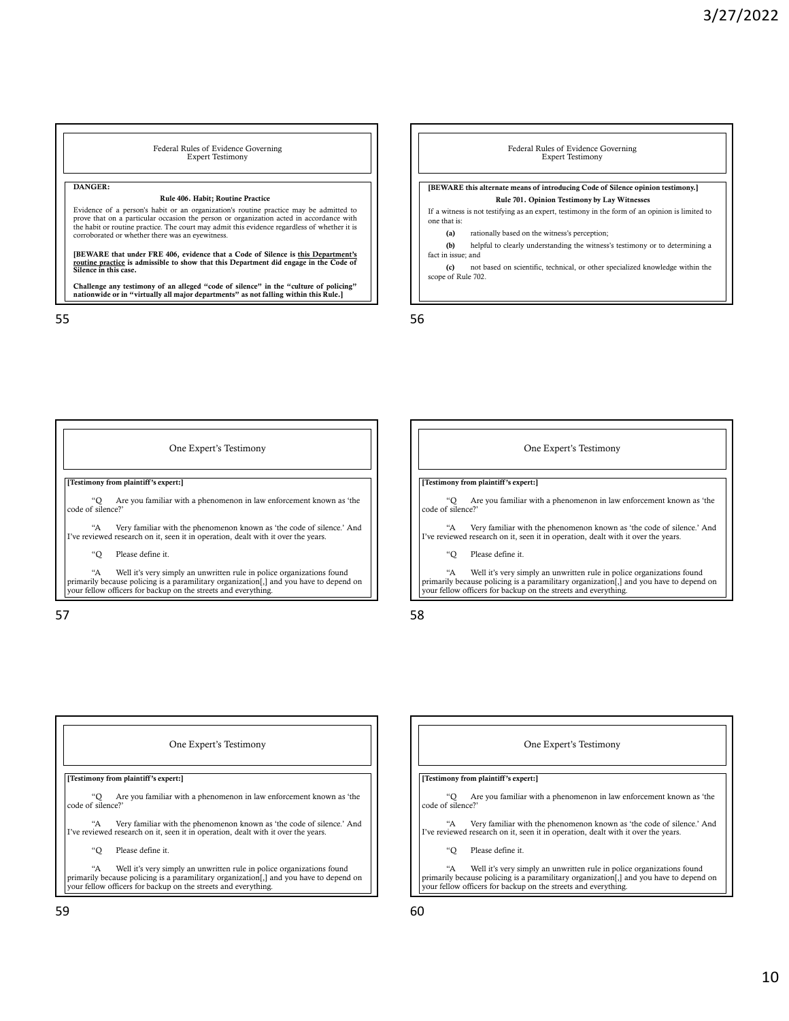Federal Rules of Evidence Governing Expert Testimony

# DANGER:

# Rule 406. Habit; Routine Practice

Evidence of a person's habit or an organization's routine practice may be admitted to prove that on a particular occasion the person or organization acted in accordance with the habit or routine practice. The court may admit this evidence regardless of whether it is corroborated or whether there was an eyewitness.

[BEWARE that under FRE 406, evidence that a Code of Silence is <u>this Department's</u><br><u>routine practice</u> is admissible to show that this Department did engage in the Code of<br>Silence in this case.

Challenge any testimony of an alleged "code of silence" in the "culture of policing" nationwide or in "virtually all major departments" as not falling within this Rule.]







|                         | One Expert's Testimony                                                                                                                                                                                                          |
|-------------------------|---------------------------------------------------------------------------------------------------------------------------------------------------------------------------------------------------------------------------------|
|                         | [Testimony from plaintiff's expert:]                                                                                                                                                                                            |
| "О<br>code of silence?' | Are you familiar with a phenomenon in law enforcement known as 'the                                                                                                                                                             |
| "А                      | Very familiar with the phenomenon known as 'the code of silence.' And<br>I've reviewed research on it, seen it in operation, dealt with it over the years.                                                                      |
| "О                      | Please define it.                                                                                                                                                                                                               |
| "А                      | Well it's very simply an unwritten rule in police organizations found<br>primarily because policing is a paramilitary organization. and you have to depend on<br>your fellow officers for backup on the streets and everything. |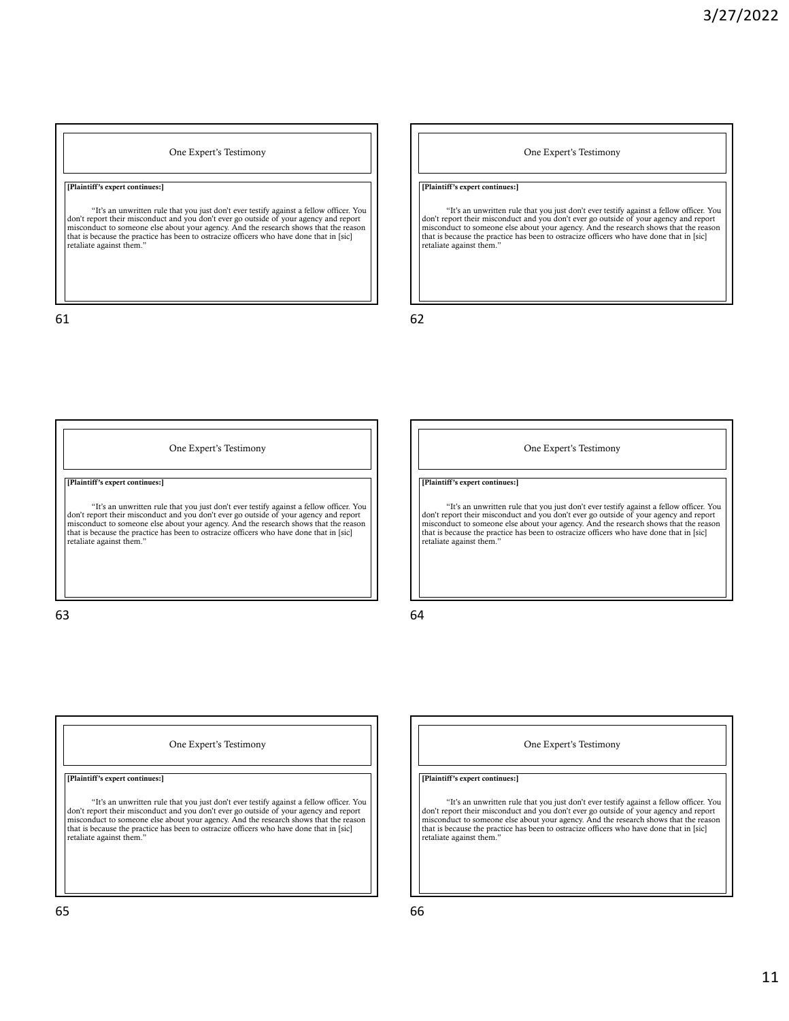# [Plaintiff's expert continues:]

it's an unwritten rule that you just don't ever testify against a fellow officer. You''<br>don't report their misconduct and you don't ever go outside of your agency and report<br>misconduct to someone else about your agency. An that is because the practice has been to ostracize officers who have done that in [sic] retaliate against them."

 $61$  62

One Expert's Testimony

[Plaintiff's expert continues:]

"It's an unwritten rule that you just don't ever testify against a fellow officer. You don't report their misconduct and you don't ever go outside of your agency and report misconduct to someone else about your agency. And the research shows that the reason that is because the practice has been to ostracize officers who have done that in [sic] retaliate against them."

63 64

One Expert's Testimony

One Expert's Testimony

'f's an unwritten rule that you just don't ever testify against a fellow officer. You<br>don't report their misconduct and you don't ever go outside of your agency and report<br>misconduct to someone else about your agency. And that is because the practice has been to ostracize officers who have done that in [sic] retaliate against them."

[Plaintiff's expert continues:]

[Plaintiff's expert continues:]

"It's an unwritten rule that you just don't ever testify against a fellow officer. You don't report their misconduct and you don't ever go outside of your agency and report misconduct to someone else about your agency. And the research shows that the reason that is because the practice has been to ostracize officers who have done that in [sic] retaliate against them."

One Expert's Testimony

[Plaintiff's expert continues:]

"It's an unwritten rule that you just don't ever testify against a fellow officer. You don't report their misconduct and you don't ever go outside of your agency and report misconduct to someone else about your agency. And the research shows that the reason that is because the practice has been to ostracize officers who have done that in [sic] retaliate against them."

One Expert's Testimony

[Plaintiff's expert continues:]

"It's an unwritten rule that you just don't ever testify against a fellow officer. You don't report their misconduct and you don't ever go outside of your agency and report misconduct to someone else about your agency. And the research shows that the reason that is because the practice has been to ostracize officers who have done that in [sic] retaliate against them."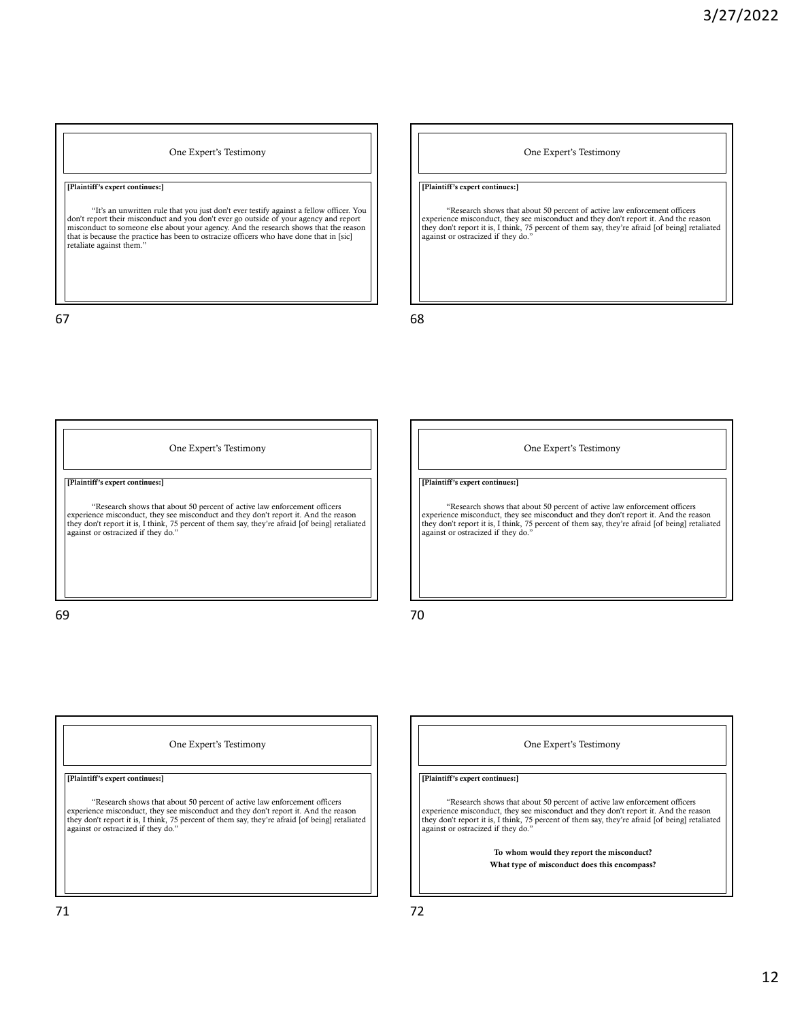# [Plaintiff's expert continues:]

it's an unwritten rule that you just don't ever testify against a fellow officer. You''<br>don't report their misconduct and you don't ever go outside of your agency and report<br>misconduct to someone else about your agency. An that is because the practice has been to ostracize officers who have done that in [sic] retaliate against them."

 $67$  68

One Expert's Testimony

[Plaintiff's expert continues:]

"Research shows that about 50 percent of active law enforcement officers experience misconduct, they see misconduct and they don't report it. And the reason they don't report it is, I think, 75 percent of them say, they're afraid [of being] retaliated against or ostracized if they do."

69 70

One Expert's Testimony

One Expert's Testimony

expect to the secure of active law enforcement officers<br>experience misconduct, they see misconduct and they don't report it. And the reason<br>they don't report it is, I think, 75 percent of them say, they're afraid [of being

[Plaintiff's expert continues:]

[Plaintiff's expert continues:]

against or ostracized if they do."

"Research shows that about 50 percent of active law enforcement officers experience misconduct, they see misconduct and they don't report it. And the reason they don't report it is, I think, 75 percent of them say, they're afraid [of being] retaliated against or ostracized if they do."

One Expert's Testimony

[Plaintiff's expert continues:]

"Research shows that about 50 percent of active law enforcement officers experience misconduct, they see misconduct and they don't report it. And the reason they don't report it is, I think, 75 percent of them say, they're afraid [of being] retaliated against or ostracized if they do." One Expert's Testimony

[Plaintiff's expert continues:]

"Research shows that about 50 percent of active law enforcement officers experience misconduct, they see misconduct and they don't report it. And the reason they don't report it is, I think, 75 percent of them say, they're afraid [of being] retaliated against or ostracized if they do."

> To whom would they report the misconduct? What type of misconduct does this encompass?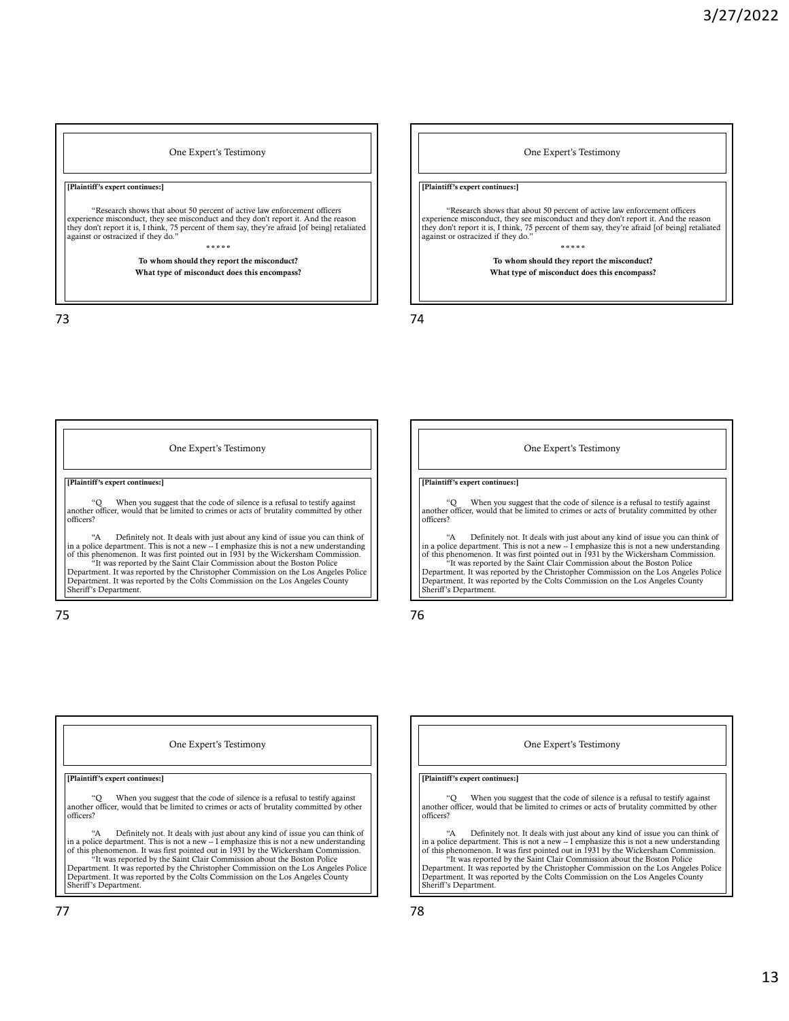# [Plaintiff's expert continues:]

"Research shows that about 50 percent of active law enforcement officers<br>experience misconduct, they see misconduct and they don't report it. And the reason<br>they don't report it is, I think, 75 percent of them say, they're against or ostracized if they do." º º º º º

> To whom should they report the misconduct? What type of misconduct does this encompass?

73 74

One Expert's Testimony [Plaintiff's expert continues:] "Research shows that about 50 percent of active law enforcement officers experience misconduct, they see misconduct and they don't report it. And the reason they don't report it is, I think, 75 percent of them say, they're afraid [of being] retaliated against or ostracized if they do." º º º º º To whom should they report the misconduct? What type of misconduct does this encompass?

One Expert's Testimony

# [Plaintiff's expert continues:]

"Q When you suggest that the code of silence is a refusal to testify against another officer, would that be limited to crimes or acts of brutality committed by other officers?

"A Definitely not. It deals with just about any kind of issue you can think of in a police department. This is not a new -- I emphasize this is not a new understanding of this phenomenon. It was first pointed out in 1931 by the Wickersham Commission. "It was reported by the Saint Clair Commission about the Boston Police Department. It was reported by the Christopher Commission on the Los Angeles Police Department. It was reported by the Colts Commission on the Los Angeles County Sheriff's Department.

75 76

One Expert's Testimony

# [Plaintiff's expert continues:]

"Q When you suggest that the code of silence is a refusal to testify against another officer, would that be limited to crimes or acts of brutality committed by other officers?

"A Definitely not. It deals with just about any kind of issue you can think of in a police department. This is not a new -- I emphasize this is not a new understanding of this phenomenon. It was first pointed out in 1931 by the Wickersham Commission. "It was reported by the Saint Clair Commission about the Boston Police Department. It was reported by the Christopher Commission on the Los Angeles Police Department. It was reported by the Colts Commission on the Los Angeles County Sheriff's Department.



One Expert's Testimony

[Plaintiff's expert continues:]

"Q When you suggest that the code of silence is a refusal to testify against another officer, would that be limited to crimes or acts of brutality committed by other officers?

"A Definitely not. It deals with just about any kind of issue you can think of in a police department. This is not a new -- I emphasize this is not a new understanding<br>of this phenomenon. It was first pointed out in 1931 by the Wickersham Commission.<br>"It was reported by the Saint Clair Commission abo Department. It was reported by the Colts Commission on the Los Angeles County Sheriff's Department.

One Expert's Testimony

# [Plaintiff's expert continues:]

"Q When you suggest that the code of silence is a refusal to testify against another officer, would that be limited to crimes or acts of brutality committed by other officers?

"A Definitely not. It deals with just about any kind of issue you can think of<br>in a police department. This is not a new --I emphasize this is not a new understanding<br>of this phenomenon. It was first pointed out in 1931 by Department. It was reported by the Colts Commission on the Los Angeles County Sheriff's Department.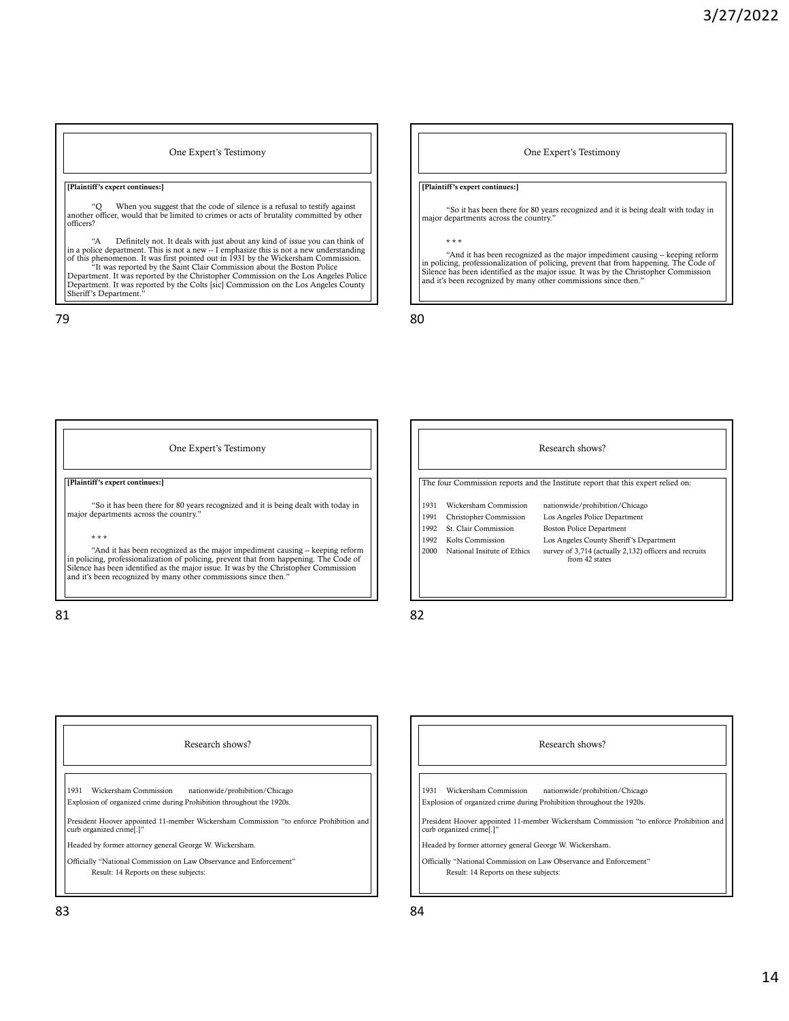# [Plaintiff's expert continues:]

"Q When you suggest that the code of silence is a refusal to testify against another officer, would that be limited to crimes or acts of brutality committed by other officers?

"A Definitely not. It deals with just about any kind of issue you can think of in a police department. This is not a new -- I emphasize this is not a new understanding of this phenomenon. It was first pointed out in 1931 by the Wickersham Commission.<br>"It was reported by the Saint Clair Commission about the Boston Police<br>Department. It was reported by the Christopher Commission on the Los Department. It was reported by the Colts [sic] Commission on the Los Angeles County Sheriff's Department.

79 80

One Expert's Testimony

# [Plaintiff's expert continues:]

"So it has been there for 80 years recognized and it is being dealt with today in major departments across the country."

\* \* \*

"And it has been recognized as the major impediment causing -- keeping reform<br>in policing, professionalization of policing, prevent that from happening. The Code of<br>Silence has been identified as the major issue. It was by and it's been recognized by many other commissions since then."

One Expert's Testimony [Plaintiff's expert continues:] "So it has been there for 80 years recognized and it is being dealt with today in major departments across the country." \* \* \* "And it has been recognized as the major impediment causing -- keeping reform<br>in policing, professionalization of policing, prevent that from happening. The Code of<br>Silence has been identified as the major issue. It was by and it's been recognized by many other commissions since then."

| Research shows? |                             |                                                                                  |  |
|-----------------|-----------------------------|----------------------------------------------------------------------------------|--|
|                 |                             | The four Commission reports and the Institute report that this expert relied on: |  |
| 1931            | Wickersham Commission       | nationwide/prohibition/Chicago                                                   |  |
| 1991            | Christopher Commission      | Los Angeles Police Department                                                    |  |
| 1992            | St. Clair Commission        | <b>Boston Police Department</b>                                                  |  |
| 1992            | Kolts Commission            | Los Angeles County Sheriff's Department                                          |  |
| 2000            | National Insitute of Ethics | survey of 3,714 (actually 2,132) officers and recruits<br>from 42 states         |  |



Research shows? 1931 Wickersham Commission nationwide/prohibition/Chicago Explosion of organized crime during Prohibition throughout the 1920s. President Hoover appointed 11-member Wickersham Commission "to enforce Prohibition and curb organized crime[.]" Headed by former attorney general George W. Wickersham. Officially "National Commission on Law Observance and Enforcement" Result: 14 Reports on these subjects:

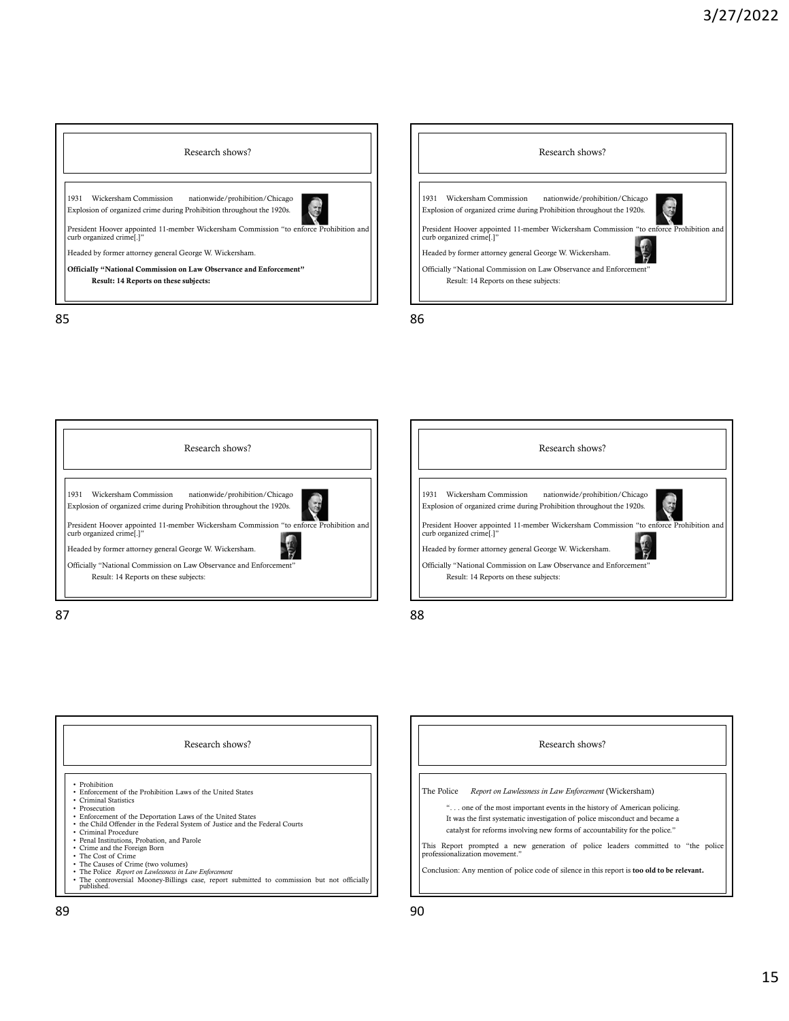







Research shows?

Result: 14 Reports on these subjects:





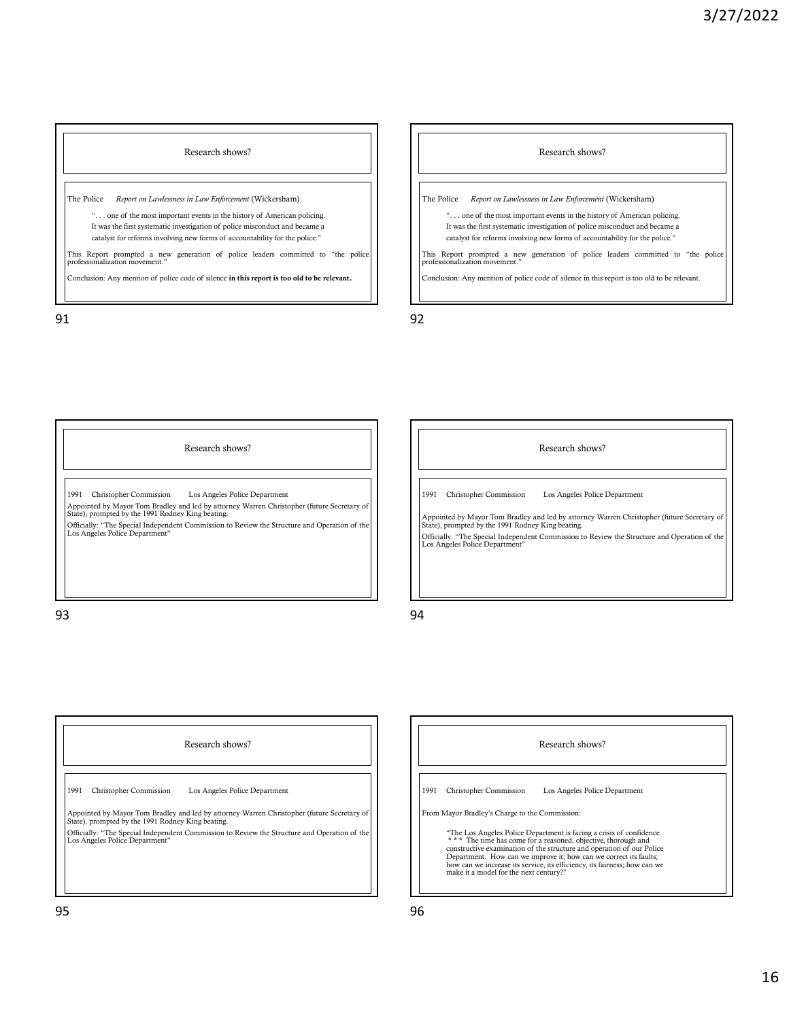# Research shows?

The Police *Report on Lawlessness in Law Enforcement* (Wickersham)

". . . one of the most important events in the history of American policing.

It was the first systematic investigation of police misconduct and became a catalyst for reforms involving new forms of accountability for the police."

This Report prompted a new generation of police leaders committed to "the police professionalization movement."

Conclusion: Any mention of police code of silence in this report is too old to be relevant.

91 92

Research shows? The Police *Report on Lawlessness in Law Enforcement* (Wickersham) ". . . one of the most important events in the history of American policing. It was the first systematic investigation of police misconduct and became a catalyst for reforms involving new forms of accountability for the police." This Report prompted a new generation of police leaders committed to "the police professionalization movement." Conclusion: Any mention of police code of silence in this report is too old to be relevant.



Research shows? 1991 Christopher Commission Los Angeles Police Department Appointed by Mayor Tom Bradley and led by attorney Warren Christopher (future Secretary of State), prompted by the 1991 Rodney King beating. Officially: "The Special Independent Commission to Review the Structure and Operation of the Los Angeles Police Department"

Research shows? 1991 Christopher Commission Los Angeles Police Department Appointed by Mayor Tom Bradley and led by attorney Warren Christopher (future Secretary of State), prompted by the 1991 Rodney King beating. Officially: "The Special Independent Commission to Review the Structure and Operation of the Los Angeles Police Department"

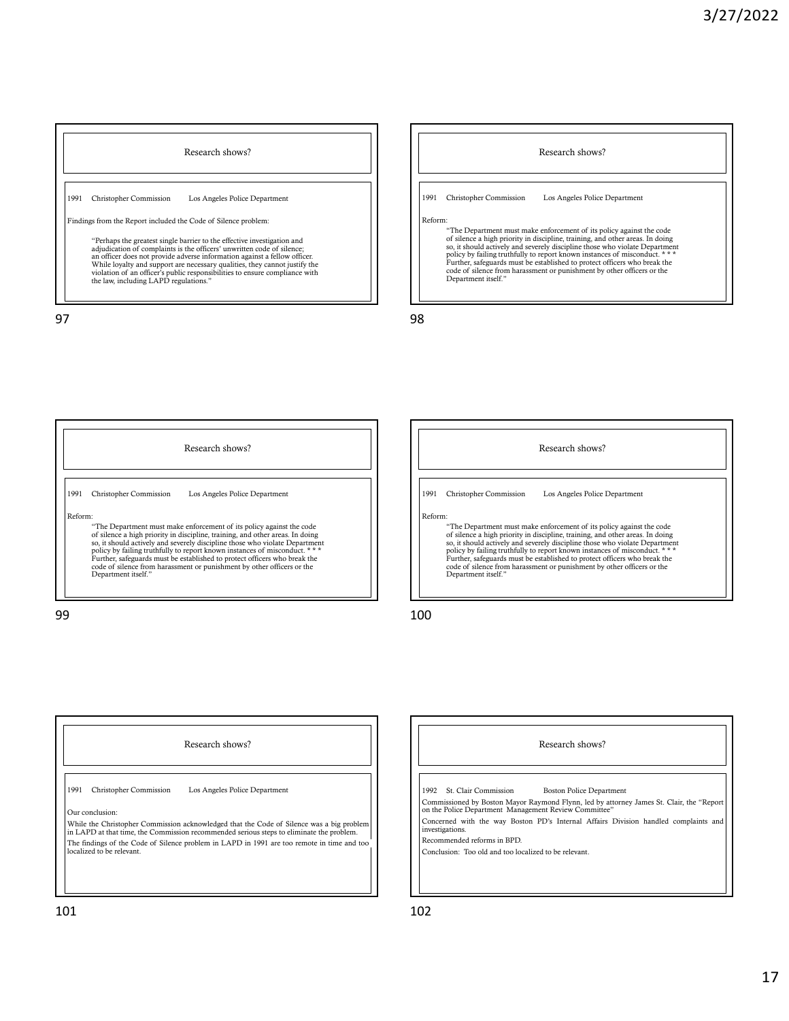

Research shows? 1991 Christopher Commission Los Angeles Police Department Reform: "The Department must make enforcement of its policy against the code of silence a high priority in discipline, training, and other areas. In doing so, it should actively and severely discipline those who violate Department<br>policy by failing truthfully to report known instances of misconduct. \* \* \*<br>Further, safeguards must be established to protect officers who break code of silence from harassment or punishment by other officers or the Department itself."



|                                                                                                                                                                                                                                                                                                                                                                                                                                                                                                              | Research shows?                                         |
|--------------------------------------------------------------------------------------------------------------------------------------------------------------------------------------------------------------------------------------------------------------------------------------------------------------------------------------------------------------------------------------------------------------------------------------------------------------------------------------------------------------|---------------------------------------------------------|
|                                                                                                                                                                                                                                                                                                                                                                                                                                                                                                              |                                                         |
| 1991                                                                                                                                                                                                                                                                                                                                                                                                                                                                                                         | Christopher Commission<br>Los Angeles Police Department |
| Reform:<br>"The Department must make enforcement of its policy against the code<br>of silence a high priority in discipline, training, and other areas. In doing<br>so, it should actively and severely discipline those who violate Department<br>policy by failing truthfully to report known instances of misconduct. * * *<br>Further, safeguards must be established to protect officers who break the<br>code of silence from harassment or punishment by other officers or the<br>Department itself." |                                                         |



| Research shows?                                                                                                                                                                      |  |
|--------------------------------------------------------------------------------------------------------------------------------------------------------------------------------------|--|
| 1991<br><b>Christopher Commission</b><br>Los Angeles Police Department                                                                                                               |  |
| Our conclusion:                                                                                                                                                                      |  |
| While the Christopher Commission acknowledged that the Code of Silence was a big problem<br>in LAPD at that time, the Commission recommended serious steps to eliminate the problem. |  |
| The findings of the Code of Silence problem in LAPD in 1991 are too remote in time and too<br>localized to be relevant.                                                              |  |
|                                                                                                                                                                                      |  |
|                                                                                                                                                                                      |  |

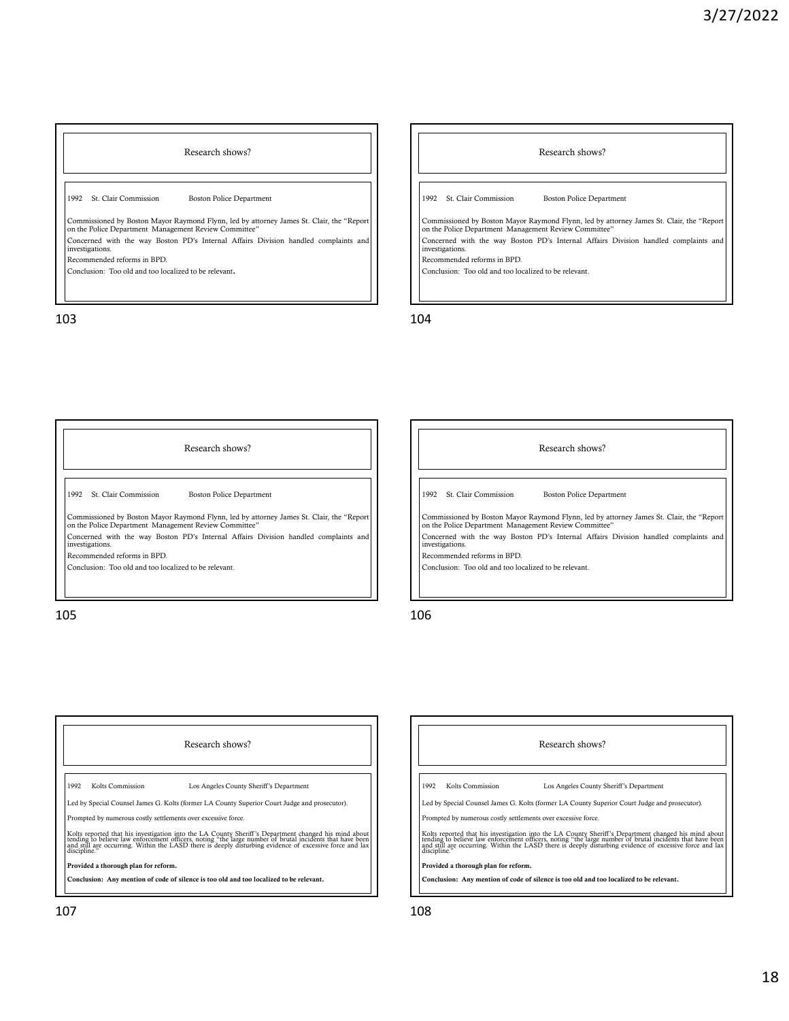

103 104

| Research shows?                                                                                                                                    |  |  |
|----------------------------------------------------------------------------------------------------------------------------------------------------|--|--|
|                                                                                                                                                    |  |  |
| St. Clair Commission<br><b>Boston Police Department</b><br>1992                                                                                    |  |  |
| Commissioned by Boston Mayor Raymond Flynn, led by attorney James St. Clair, the "Report"<br>on the Police Department Management Review Committee" |  |  |
| Concerned with the way Boston PD's Internal Affairs Division handled complaints and<br>investigations.                                             |  |  |
| Recommended reforms in BPD.                                                                                                                        |  |  |
| Conclusion: Too old and too localized to be relevant.                                                                                              |  |  |
|                                                                                                                                                    |  |  |
|                                                                                                                                                    |  |  |

| Research shows?                                                                                                                                   |
|---------------------------------------------------------------------------------------------------------------------------------------------------|
| St. Clair Commission<br>1992<br><b>Boston Police Department</b>                                                                                   |
| Commissioned by Boston Mayor Raymond Flynn, led by attorney James St. Clair, the "Report<br>on the Police Department Management Review Committee" |
| Concerned with the way Boston PD's Internal Affairs Division handled complaints and<br>investigations.                                            |
| Recommended reforms in BPD.                                                                                                                       |
| Conclusion: Too old and too localized to be relevant.                                                                                             |
|                                                                                                                                                   |
|                                                                                                                                                   |







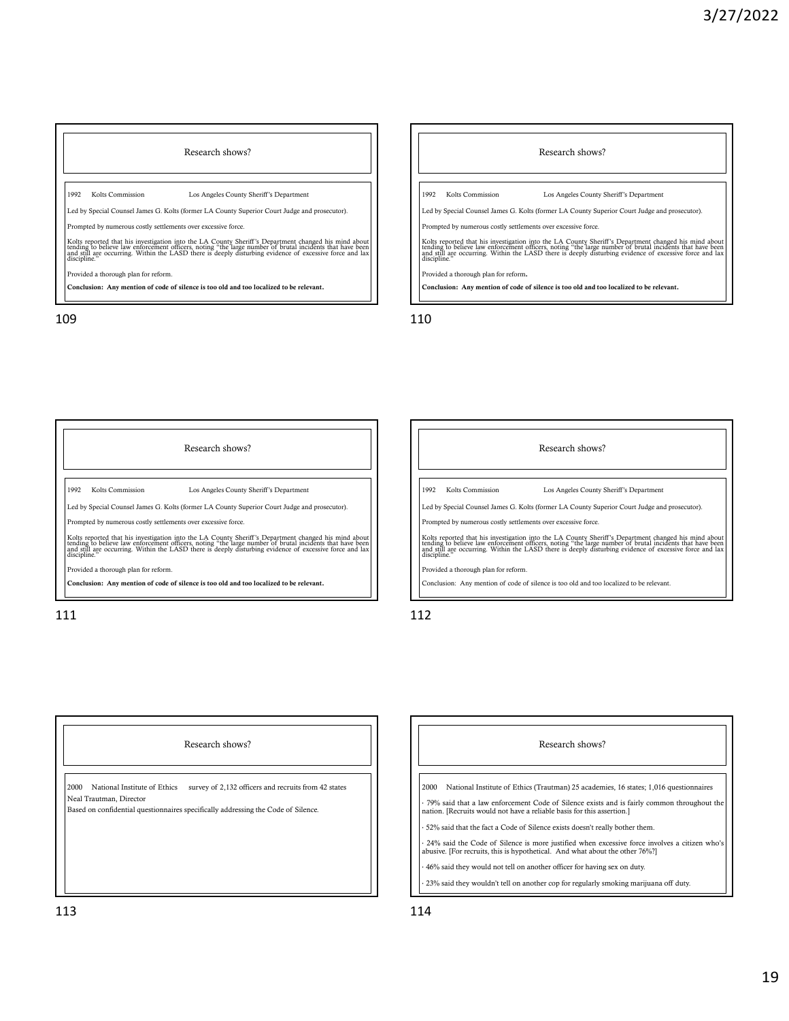



| Research shows?                                                                                                                                                                                                                                                                                                                            |                                                                                               |  |  |
|--------------------------------------------------------------------------------------------------------------------------------------------------------------------------------------------------------------------------------------------------------------------------------------------------------------------------------------------|-----------------------------------------------------------------------------------------------|--|--|
|                                                                                                                                                                                                                                                                                                                                            |                                                                                               |  |  |
|                                                                                                                                                                                                                                                                                                                                            |                                                                                               |  |  |
| 1992<br>Kolts Commission                                                                                                                                                                                                                                                                                                                   | Los Angeles County Sheriff's Department                                                       |  |  |
|                                                                                                                                                                                                                                                                                                                                            | Led by Special Counsel James G. Kolts (former LA County Superior Court Judge and prosecutor). |  |  |
| Prompted by numerous costly settlements over excessive force.                                                                                                                                                                                                                                                                              |                                                                                               |  |  |
| Kolts reported that his investigation into the LA County Sheriff's Department changed his mind about<br>ending to believe law enforcement officers, noting "the large number of brutal incidents that have been<br>and still are occurring. Within the LASD there is deeply disturbing evidence of excessive force and lax<br>discipline." |                                                                                               |  |  |
| _                                                                                                                                                                                                                                                                                                                                          |                                                                                               |  |  |

Provided a thorough plan for reform.

Conclusion: Any mention of code of silence is too old and too localized to be relevant.









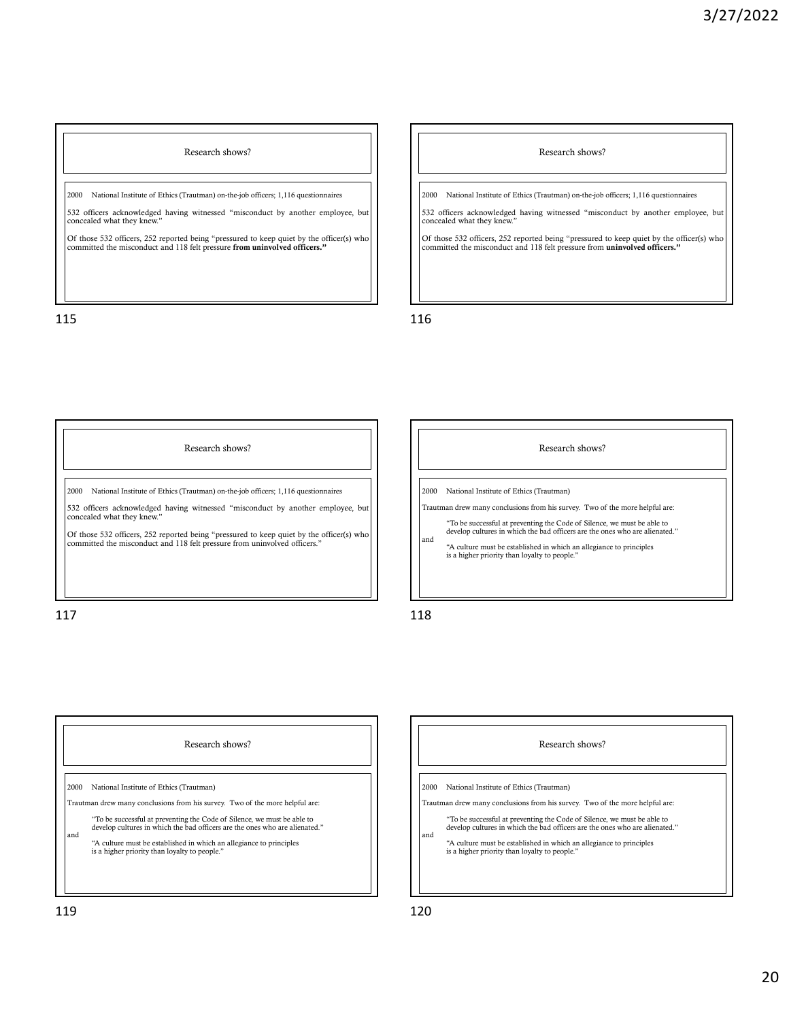# Research shows?

2000 National Institute of Ethics (Trautman) on-the-job officers; 1,116 questionnaires

532 officers acknowledged having witnessed "misconduct by another employee, but concealed what they knew."

Of those 532 officers, 252 reported being "pressured to keep quiet by the officer(s) who committed the misconduct and 118 felt pressure **from uninvolved officers."** 

115 116

2000 National Institute of Ethics (Trautman) on-the-job officers; 1,116 questionnaires 532 officers acknowledged having witnessed "misconduct by another employee, but concealed what they knew." Of those 532 officers, 252 reported being "pressured to keep quiet by the officer(s) who committed the misconduct and 118 felt pressure from **uninvolved officers."** 

Research shows?



| Research shows?<br>2000<br>National Institute of Ethics (Trautman)<br>Trautman drew many conclusions from his survey. Two of the more helpful are:<br>"To be successful at preventing the Code of Silence, we must be able to<br>develop cultures in which the bad officers are the ones who are alienated."<br>and |
|---------------------------------------------------------------------------------------------------------------------------------------------------------------------------------------------------------------------------------------------------------------------------------------------------------------------|
|                                                                                                                                                                                                                                                                                                                     |
|                                                                                                                                                                                                                                                                                                                     |
|                                                                                                                                                                                                                                                                                                                     |
| "A culture must be established in which an allegiance to principles<br>is a higher priority than loyalty to people."                                                                                                                                                                                                |





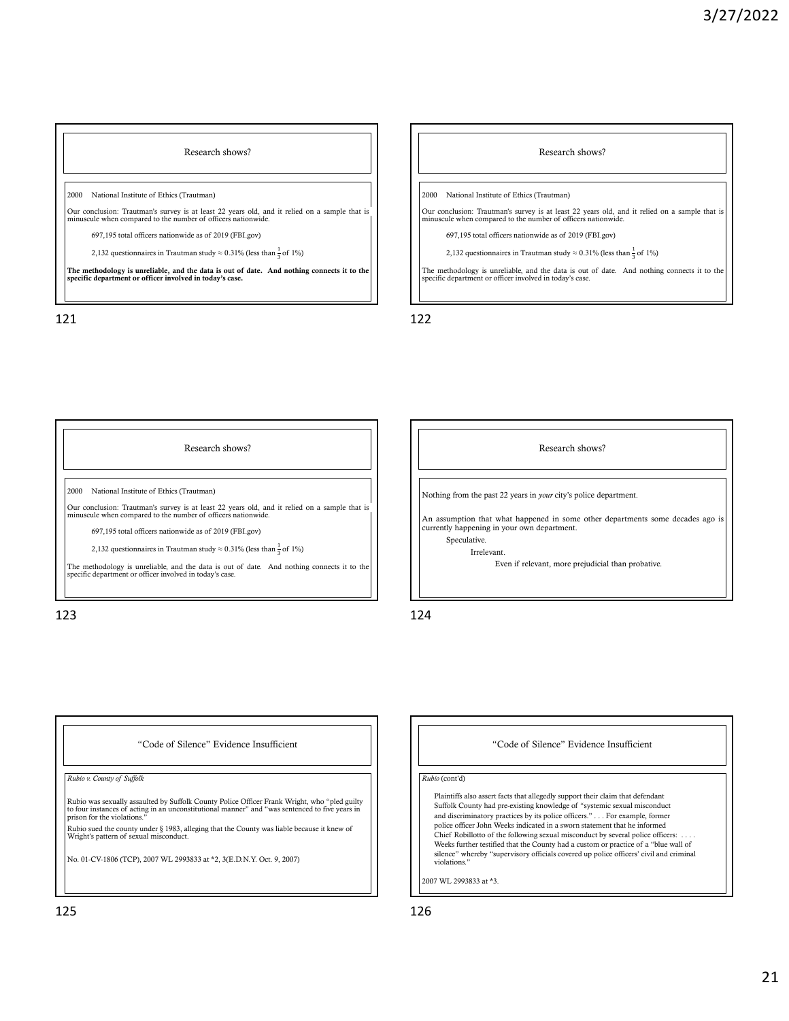### Research shows?

2000 National Institute of Ethics (Trautman)

Our conclusion: Trautman's survey is at least 22 years old, and it relied on a sample that is minuscule when compared to the number of officers nationwide.

697,195 total officers nationwide as of 2019 (FBI.gov)

2,132 questionnaires in Trautman study  $\approx 0.31\%$  (less than  $\frac{1}{3}$  of 1%)

The methodology is unreliable, and the data is out of date. And nothing connects it to the specific department or officer involved in today's case.

121 122

| Research shows?                                                                                                                                                |  |
|----------------------------------------------------------------------------------------------------------------------------------------------------------------|--|
|                                                                                                                                                                |  |
| 2000<br>National Institute of Ethics (Trautman)                                                                                                                |  |
| Our conclusion: Trautman's survey is at least 22 years old, and it relied on a sample that is<br>minuscule when compared to the number of officers nationwide. |  |
| 697,195 total officers nationwide as of 2019 (FBI.gov)                                                                                                         |  |
| 2,132 questionnaires in Trautman study $\approx 0.31\%$ (less than $\frac{1}{5}$ of 1%)                                                                        |  |
|                                                                                                                                                                |  |

The methodology is unreliable, and the data is out of date. And nothing connects it to the specific department or officer involved in today's case.



"Code of Silence" Evidence Insufficient

*Rubio v. County of Suffolk*

Rubio was sexually assaulted by Suffolk County Police Officer Frank Wright, who "pled guilty to four instances of acting in an unconstitutional manner" and "was sentenced to five years in prison for the violations."

Rubio sued the county under § 1983, alleging that the County was liable because it knew of Wright's pattern of sexual misconduct.

No. 01-CV-1806 (TCP), 2007 WL 2993833 at \*2, 3(E.D.N.Y. Oct. 9, 2007)



2007 WL 2993833 at \*3.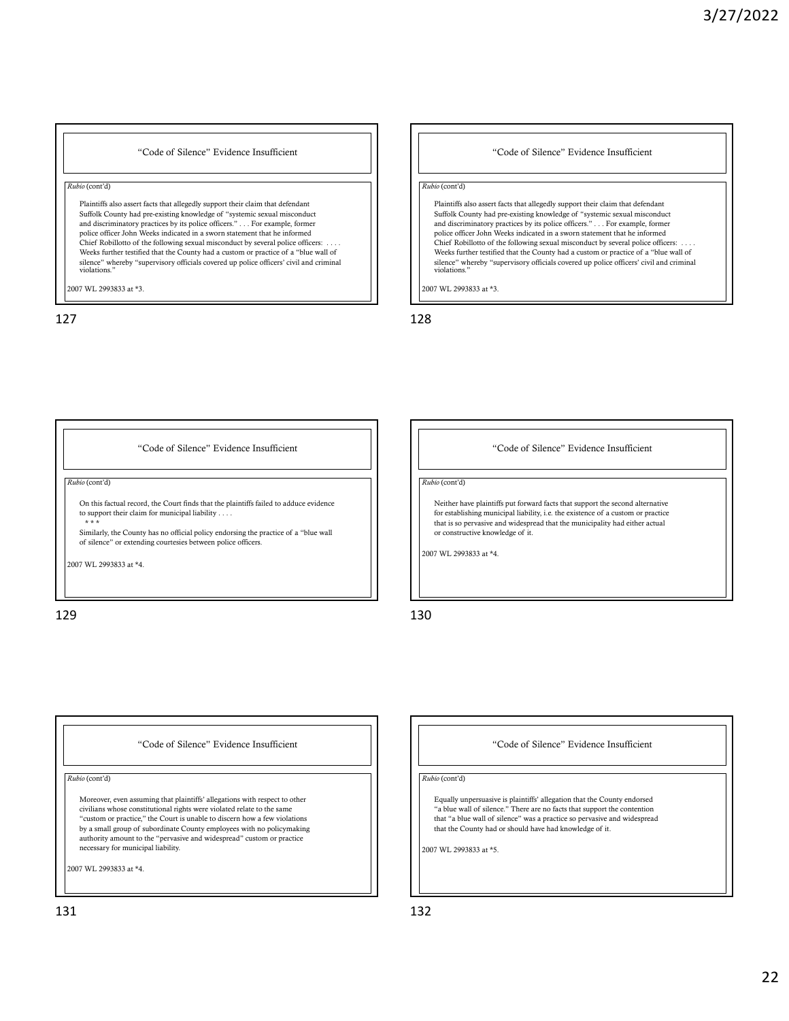# "Code of Silence" Evidence Insufficient

## *Rubio* (cont'd)

Plaintiffs also assert facts that allegedly support their claim that defendant Suffolk County had pre-existing knowledge of "systemic sexual misconduct and discriminatory practices by its police officers." . . . For example, former police officer John Weeks indicated in a sworn statement that he informed Chief Robillotto of the following sexual misconduct by several police officers: . . . . Weeks further testified that the County had a custom or practice of a "blue wall of silence" whereby "supervisory officials covered up police officers' civil and criminal violations.

2007 WL 2993833 at \*3.

127 128

### "Code of Silence" Evidence Insufficient

# *Rubio* (cont'd)

Plaintiffs also assert facts that allegedly support their claim that defendant Suffolk County had pre-existing knowledge of "systemic sexual misconduct and discriminatory practices by its police officers." . . . For example, former police officer John Weeks indicated in a sworn statement that he informed Chief Robillotto of the following sexual misconduct by several police officers: . . . . Weeks further testified that the County had a custom or practice of a "blue wall of silence" whereby "supervisory officials covered up police officers' civil and criminal violations.

2007 WL 2993833 at \*3.

"Code of Silence" Evidence Insufficient

## *Rubio* (cont'd)

\* \* \*

On this factual record, the Court finds that the plaintiffs failed to adduce evidence to support their claim for municipal liability . .

Similarly, the County has no official policy endorsing the practice of a "blue wall of silence" or extending courtesies between police officers.

2007 WL 2993833 at \*4.

129 130

"Code of Silence" Evidence Insufficient

*Rubio* (cont'd)

Neither have plaintiffs put forward facts that support the second alternative for establishing municipal liability, i.e. the existence of a custom or practice that is so pervasive and widespread that the municipality had either actual or constructive knowledge of it.

2007 WL 2993833 at \*4.

"Code of Silence" Evidence Insufficient

*Rubio* (cont'd)

Moreover, even assuming that plaintiffs' allegations with respect to other civilians whose constitutional rights were violated relate to the same "custom or practice," the Court is unable to discern how a few violations by a small group of subordinate County employees with no policymaking authority amount to the "pervasive and widespread" custom or practice necessary for municipal liability.

2007 WL 2993833 at \*4.

"Code of Silence" Evidence Insufficient

# *Rubio* (cont'd)

Equally unpersuasive is plaintiffs' allegation that the County endorsed "a blue wall of silence." There are no facts that support the contention that "a blue wall of silence" was a practice so pervasive and widespread that the County had or should have had knowledge of it.

2007 WL 2993833 at \*5.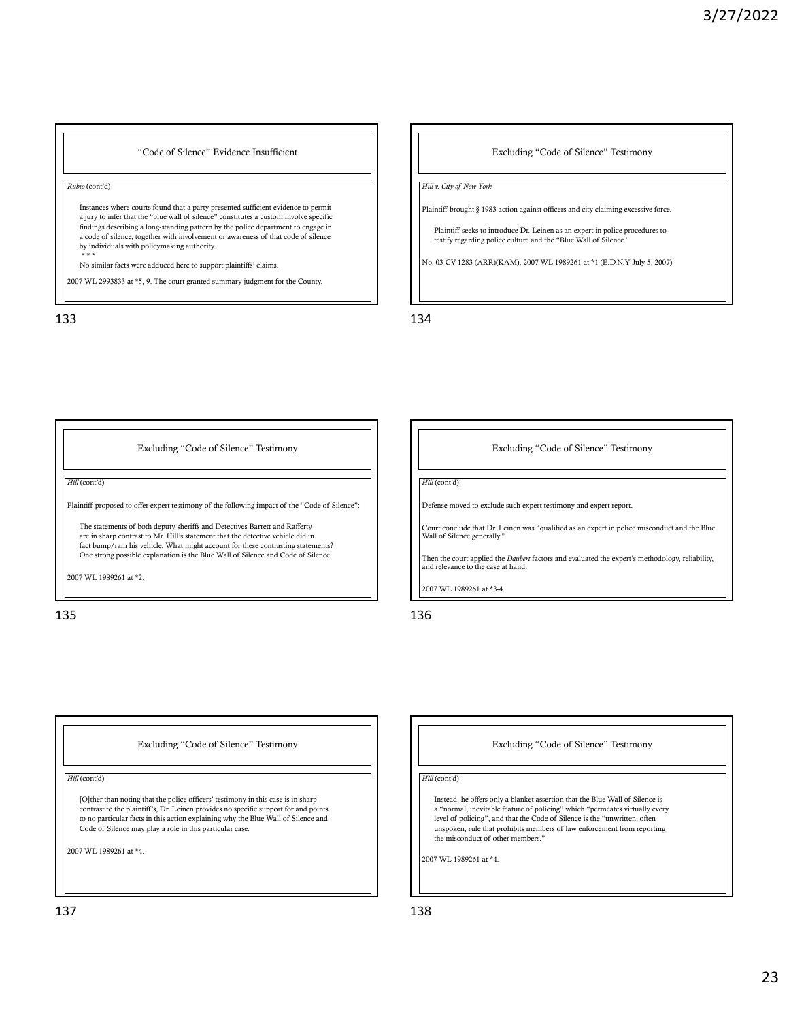# "Code of Silence" Evidence Insufficient

## *Rubio* (cont'd)

Instances where courts found that a party presented sufficient evidence to permit a jury to infer that the "blue wall of silence" constitutes a custom involve specific findings describing a long-standing pattern by the police department to engage in a code of silence, together with involvement or awareness of that code of silence by individuals with policymaking authority.

\* \* \* No similar facts were adduced here to support plaintiffs' claims.

2007 WL 2993833 at \*5, 9. The court granted summary judgment for the County.

133 134

*Hill v. City of New York*

Excluding "Code of Silence" Testimony

Plaintiff brought § 1983 action against officers and city claiming excessive force.

Plaintiff seeks to introduce Dr. Leinen as an expert in police procedures to testify regarding police culture and the "Blue Wall of Silence."

No. 03-CV-1283 (ARR)(KAM), 2007 WL 1989261 at \*1 (E.D.N.Y July 5, 2007)

Excluding "Code of Silence" Testimony

*Hill* (cont'd)

Plaintiff proposed to offer expert testimony of the following impact of the "Code of Silence":

The statements of both deputy sheriffs and Detectives Barrett and Rafferty are in sharp contrast to Mr. Hill's statement that the detective vehicle did in fact bump/ram his vehicle. What might account for these contrasting statements? One strong possible explanation is the Blue Wall of Silence and Code of Silence.

2007 WL 1989261 at \*2.

135 136

Excluding "Code of Silence" Testimony

*Hill* (cont'd)

Defense moved to exclude such expert testimony and expert report.

Court conclude that Dr. Leinen was "qualified as an expert in police misconduct and the Blue Wall of Silence generally.

Then the court applied the *Daubert* factors and evaluated the expert's methodology, reliability, and relevance to the case at hand.

2007 WL 1989261 at \*3-4.

Excluding "Code of Silence" Testimony

*Hill* (cont'd)

[O]ther than noting that the police officers' testimony in this case is in sharp contrast to the plaintiff's, Dr. Leinen provides no specific support for and points to no particular facts in this action explaining why the Blue Wall of Silence and Code of Silence may play a role in this particular case.

2007 WL 1989261 at \*4.



*Hill* (cont'd)

Instead, he offers only a blanket assertion that the Blue Wall of Silence is a "normal, inevitable feature of policing" which "permeates virtually every level of policing", and that the Code of Silence is the "unwritten, often unspoken, rule that prohibits members of law enforcement from reporting the misconduct of other members."

2007 WL 1989261 at \*4.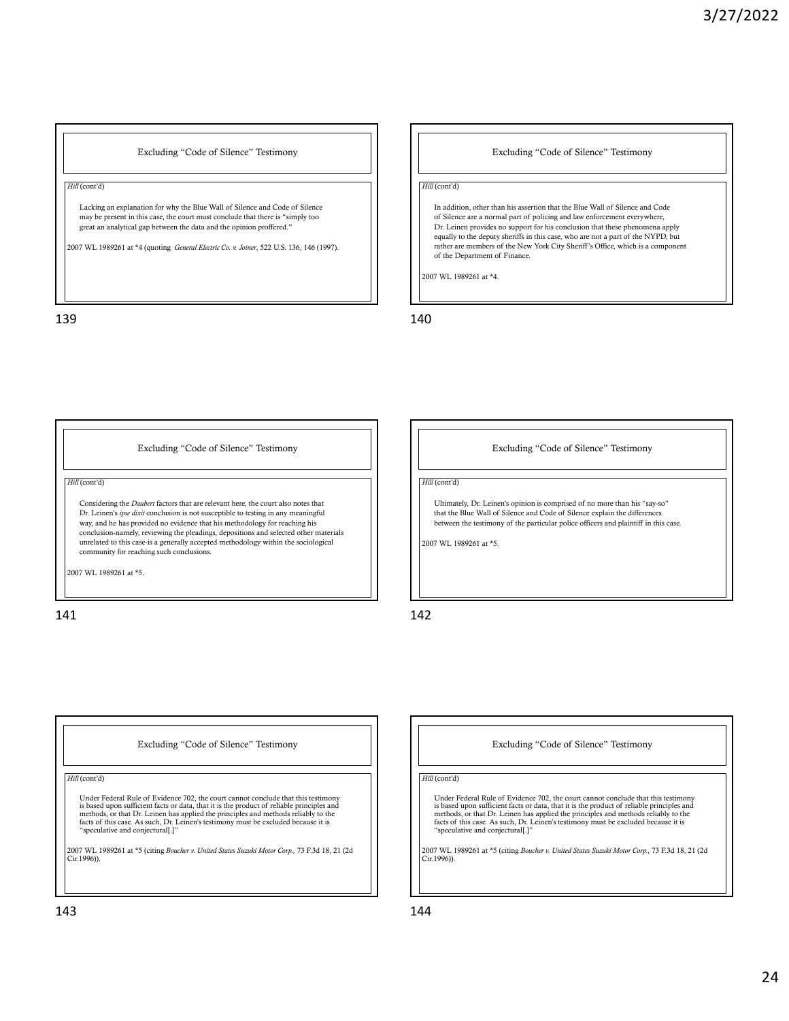*Hill* (cont'd)

Lacking an explanation for why the Blue Wall of Silence and Code of Silence may be present in this case, the court must conclude that there is "simply too great an analytical gap between the data and the opinion proffered."

2007 WL 1989261 at \*4 (quoting *General Electric Co. v. Joiner*, 522 U.S. 136, 146 (1997).

139 **140** 

Excluding "Code of Silence" Testimony

*Hill* (cont'd)

In addition, other than his assertion that the Blue Wall of Silence and Code of Silence are a normal part of policing and law enforcement everywhere, Dr. Leinen provides no support for his conclusion that these phenomena apply equally to the deputy sheriffs in this case, who are not a part of the NYPD, but rather are members of the New York City Sheriff's Office, which is a component of the Department of Finance.

2007 WL 1989261 at \*4.

Excluding "Code of Silence" Testimony

*Hill* (cont'd)

Considering the *Daubert* factors that are relevant here, the court also notes that Dr. Leinen's *ipse dixit* conclusion is not susceptible to testing in any meaningful way, and he has provided no evidence that his methodology for reaching his conclusion-namely, reviewing the pleadings, depositions and selected other materials unrelated to this case-is a generally accepted methodology within the sociological community for reaching such conclusions.

2007 WL 1989261 at \*5.

141 142

Excluding "Code of Silence" Testimony

*Hill* (cont'd)

Ultimately, Dr. Leinen's opinion is comprised of no more than his "say-so" that the Blue Wall of Silence and Code of Silence explain the differences between the testimony of the particular police officers and plaintiff in this case.

2007 WL 1989261 at \*5.

Excluding "Code of Silence" Testimony

*Hill* (cont'd)

Under Federal Rule of Evidence 702, the court cannot conclude that this testimony<br>is based upon sufficient facts or data, that it is the product of reliable principles and<br>methods, or that Dr. Leinen has applied the princi facts of this case. As such, Dr. Leinen's testimony must be excluded because it is "speculative and conjectural[.]"

2007 WL 1989261 at \*5 (citing *Boucher v. United States Suzuki Motor Corp.,* 73 F.3d 18, 21 (2d Cir.1996)).

Excluding "Code of Silence" Testimony

*Hill* (cont'd)

Under Federal Rule of Evidence 702, the court cannot conclude that this testimony<br>is based upon sufficient facts or data, that it is the product of reliable principles and<br>methods, or that Dr. Leinen has applied the princi facts of this case. As such, Dr. Leinen's testimony must be excluded because it is "speculative and conjectural[.]"

2007 WL 1989261 at \*5 (citing *Boucher v. United States Suzuki Motor Corp.,* 73 F.3d 18, 21 (2d Cir.1996)).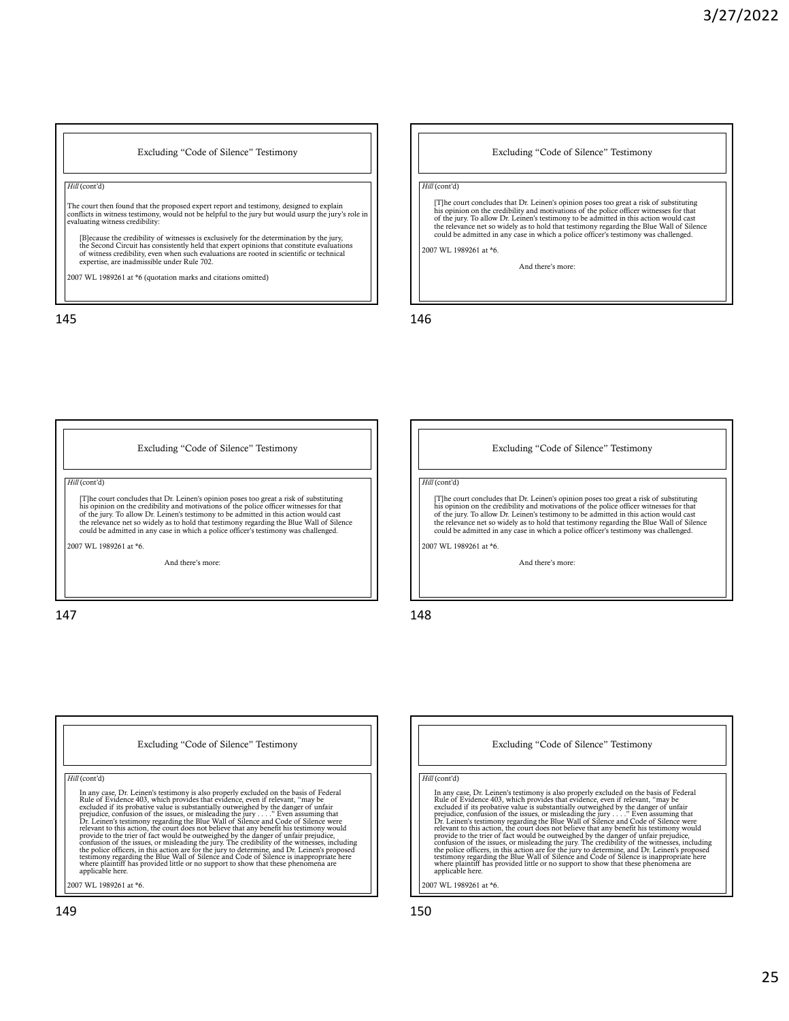### *Hill* (cont'd)

The court then found that the proposed expert report and testimony, designed to explain conflicts in witness testimony, would not be helpful to the jury but would usurp the jury's role in evaluating witness credibility:

[B]ecause the credibility of witnesses is exclusively for the determination by the jury, the Second Circuit has consistently held that expert opinions that constitute evaluations of witness credibility, even when such evaluations are rooted in scientific or technical expertise, are inadmissible under Rule 702.

2007 WL 1989261 at \*6 (quotation marks and citations omitted)

 $145$  146

Excluding "Code of Silence" Testimony

*Hill* (cont'd)

[T]he court concludes that Dr. Leinen's opinion poses too great a risk of substituting<br>his opinion on the credibility and motivations of the police officer witnesses for that<br>of the jury. To allow Dr. Leinen's testimony to the relevance net so widely as to hold that testimony regarding the Blue Wall of Silence could be admitted in any case in which a police officer's testimony was challenged.

2007 WL 1989261 at \*6.

And there's more:

Excluding "Code of Silence" Testimony

## *Hill* (cont'd)

[T]he court concludes that Dr. Leinen's opinion poses too great a risk of substituting his opinion on the credibility and motivations of the police officer witnesses for that of the jury. To allow Dr. Leinen's testimony to be admitted in this action would cast the relevance net so widely as to hold that testimony regarding the Blue Wall of Silence could be admitted in any case in which a police officer's testimony was challenged.

2007 WL 1989261 at \*6.

And there's more:

Excluding "Code of Silence" Testimony

*Hill* (cont'd)

[T]he court concludes that Dr. Leinen's opinion poses too great a risk of substituting his opinion on the credibility and motivations of the police officer witnesses for that of the jury. To allow Dr. Leinen's testimony to be admitted in this action would cast the relevance net so widely as to hold that testimony regarding the Blue Wall of Silence could be admitted in any case in which a police officer's testimony was challenged.

2007 WL 1989261 at \*6.

And there's more:

# 147 148

Excluding "Code of Silence" Testimony

*Hill* (cont'd)

In any case, Dr. Leinen's testimony is also properly excluded on the basis of Federal Rule of Evidence 403, which provides that evidence, even if relevant, "may be excluded if its probative value is substantially outweigh provide to the trier of fact would be outweighed by the danger of unfair prejudice,<br>confusion of the issues, or misleading the jury. The credibitity of the witnesses, including<br>the police officers, in this action are for t

2007 WL 1989261 at \*6.

## Excluding "Code of Silence" Testimony

*Hill* (cont'd)

In any case, Dr. Leinen's testimony is also properly excluded on the basis of Federal Rule of Evidence 403, which provides that evidence, even if relevant, "may be excluded if its probative value is substantially outweigh provide to the trier of fact would be outweighed by the danger of unfair prejudice,<br>confusion of the issues, or misleading the jury. The credibitity of the witnesses, including<br>the police officers, in this action are for t

2007 WL 1989261 at \*6.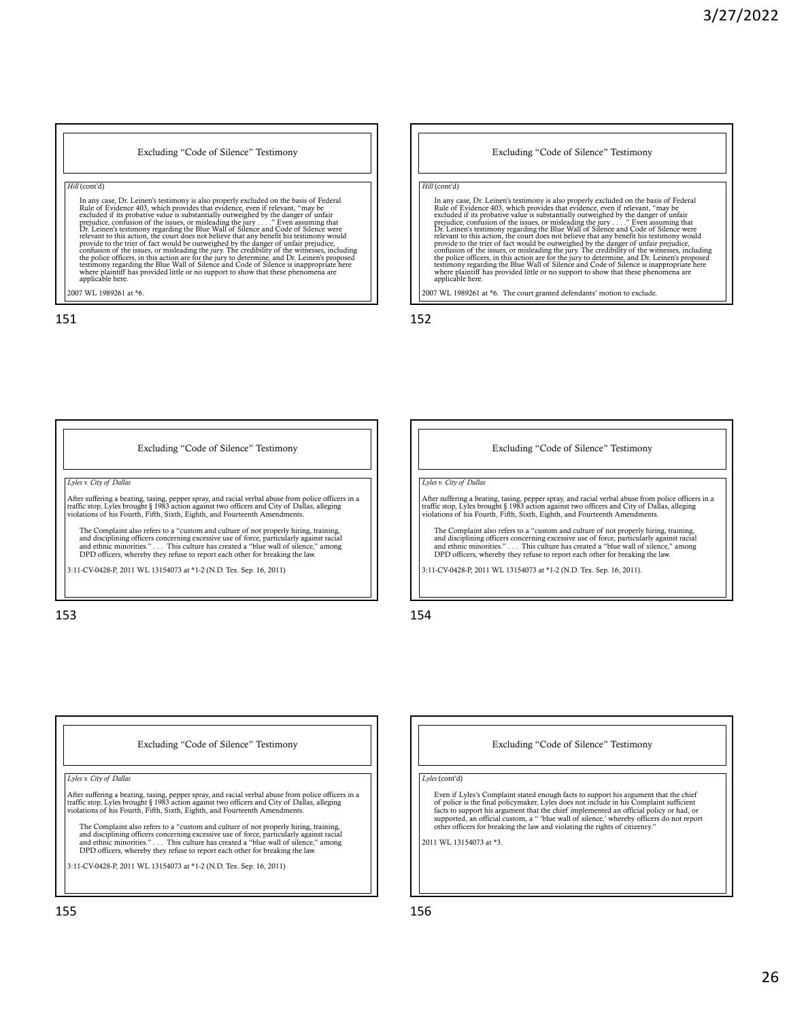# *Hill* (cont'd)

In any case, Dr. Leinen's testimony is also properly excluded on the basis of Federal Rule of Evidence 403, which provides that evidence, even if relevant, "may be excluded if its probative value is substantially outweighe

2007 WL 1989261 at \*6.

151 152

Excluding "Code of Silence" Testimony

### *Hill* (cont'd)

In any case, Dr. Leinen's testimony is also properly excluded on the basis of Federal Rule of Evidence 403, which provides that evidence, even if relevant, "may be excluded if its probative value is substantially outweighe

2007 WL 1989261 at \*6. The court granted defendants' motion to exclude.

# Excluding "Code of Silence" Testimony

*Lyles v. City of Dallas*

After suffering a beating, tasing, pepper spray, and racial verbal abuse from police officers in a<br>traffic stop, Lyles brought § 1983 action against two officers and City of Dallas, alleging<br>violations of his Fourth, Fifth

The Complaint also refers to a "custom and culture of not properly hiring, training, and disciplining officers concerning excessive use of force, particularly against racial<br>and ethnic minorities." . . . This culture has created a "blue wall of silence," among<br>DPD officers, whereby they refuse to report ea

3:11-CV-0428-P, 2011 WL 13154073 at \*1-2 (N.D. Tex. Sep. 16, 2011)





Excluding "Code of Silence" Testimony

*Lyles v. City of Dallas*

After suffering a beating, tasing, pepper spray, and racial verbal abuse from police officers in a<br>traffic stop, Lyles brought § 1983 action against two officers and City of Dallas, alleging<br>violations of his Fourth, Fifth

The Complaint also refers to a "custom and culture of not properly hiring, training,<br>and disciplining officers concerning excessive use of force, particularly against racial<br>and ethnic minorities." . . . This culture has c DPD officers, whereby they refuse to report each other for breaking the law.

3:11-CV-0428-P, 2011 WL 13154073 at \*1-2 (N.D. Tex. Sep. 16, 2011)



# *Lyles* (cont'd)

Even if Lyles's Complaint stated enough facts to support his argument that the chief of police is the final policymaker, Lyles does not include in his Complaint sufficient<br>facts to support his argument that the chief implemented an official policy or had, or<br>supported, an official custom, a "blue wall of s

2011 WL 13154073 at \*3.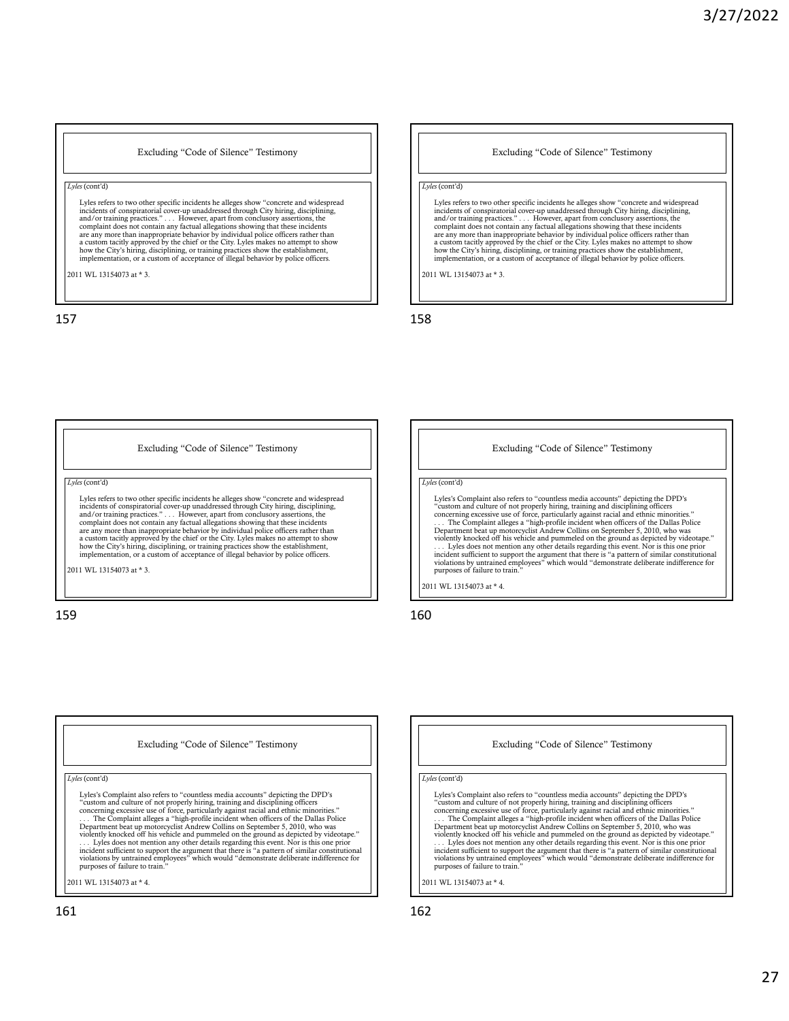### *Lyles* (cont'd)

Lyles refers to two other specific incidents he alleges show "concrete and widespread incidents of conspiratorial cover-up unaddressed through City hirring, disciplining, and/or training practices." . . . However, apart from conclusory assertions, the complaint does not contain any factual allegations showi how the City's hiring, disciplining, or training practices show the establishment, implementation, or a custom of acceptance of illegal behavior by police officers.

2011 WL 13154073 at \* 3.

157 158

Excluding "Code of Silence" Testimony

*Lyles* (cont'd)

Lyles refers to two other specific incidents he alleges show "concrete and widespread incidents of conspiratorial cover-up unaddressed through City hirring, disciplining, and/or training practices." . . . However, apart from conclusory assertions, the complaint does not contain any factual allegations showi how the City's hiring, disciplining, or training practices show the establishment, implementation, or a custom of acceptance of illegal behavior by police officers.

2011 WL 13154073 at \* 3.

## Excluding "Code of Silence" Testimony

### *Lyles* (cont'd)

Lyles refers to two other specific incidents he alleges show "concrete and widespread incidents of conspiratorial cover-up unaddressed through City hiring, disciplining, and/or training practices."... However, apart from conclusory assertions, the complaint does not contain any factual allegations showing t a custom tacitly approved by the chief or the City. Lyles makes no attempt to show<br>how the City's hiring, disciplining, or training practices show the establishment,<br>implementation, or a custom of acceptance of illegal beh

2011 WL 13154073 at \* 3.

159 160



2011 WL 13154073 at \* 4.





violations by untrained employees" which would "demonstrate deliberate indifference for purposes of failure to train."

2011 WL 13154073 at \* 4.

# Excluding "Code of Silence" Testimony

### *Lyles* (cont'd)



2011 WL 13154073 at \* 4.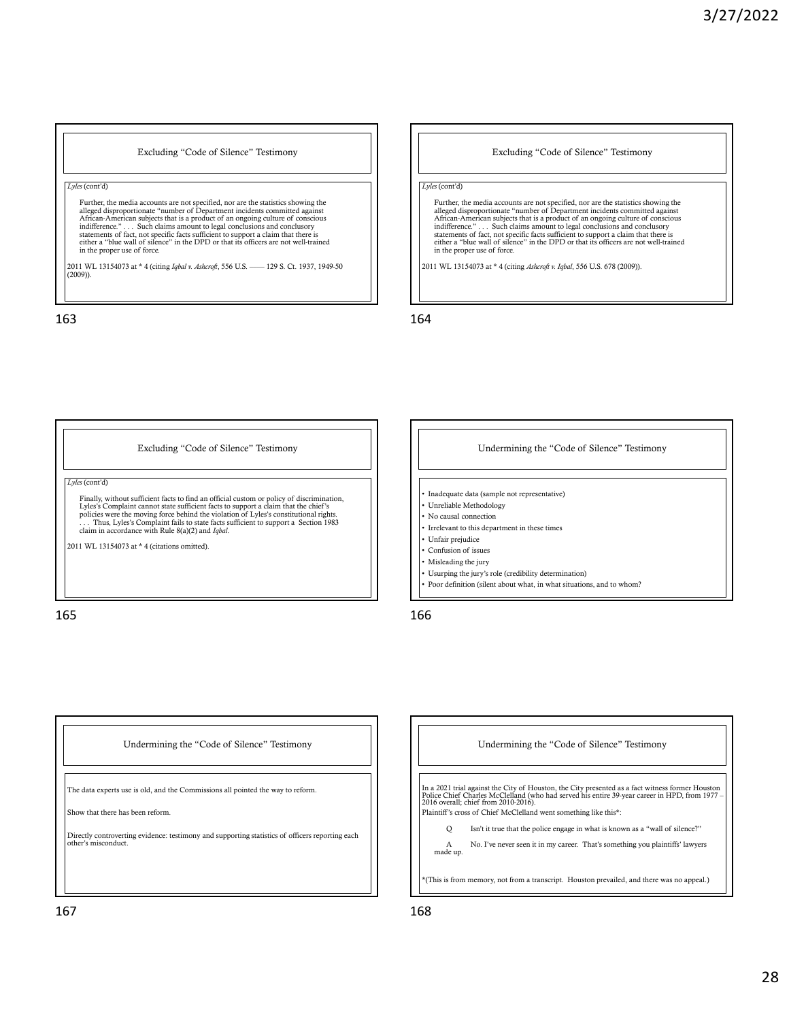## *Lyles* (cont'd)

Further, the media accounts are not specified, nor are the statistics showing the alleged disproportionate "number of Department incidents committed against<br>African-American subjects that is a product of an ongoing culture of conscious<br>indifference." . . . Such claims amount to legal conclusions and con in the proper use of force.

2011 WL 13154073 at \* 4 (citing *Iqbal v. Ashcroft*, 556 U.S. –––– 129 S. Ct. 1937, 1949-50 (2009)).

163 164

Excluding "Code of Silence" Testimony *Lyles* (cont'd) Further, the media accounts are not specified, nor are the statistics showing the alleged disproportionate "number of Department incidents committed against<br>African-American subjects that is a product of an ongoing culture of conscious<br>indifference." . . . Such claims amount to legal conclusions and con in the proper use of force.

2011 WL 13154073 at \* 4 (citing *Ashcroft v. Iqbal*, 556 U.S. 678 (2009)).

Excluding "Code of Silence" Testimony

## *Lyles* (cont'd)

Finally, without sufficient facts to find an official custom or policy of discrimination, Lyles's Complaint cannot state sufficient facts to support a claim that the chief's policies were the moving force behind the violation of Lyles's constitutional rights.<br>... Thus, Lyles's Complaint fails to state facts suf

2011 WL 13154073 at \* 4 (citations omitted).

# Undermining the "Code of Silence" Testimony

- Inadequate data (sample not representative)
- Unreliable Methodology
- No causal connection
- Irrelevant to this department in these times
- Unfair prejudice
- Confusion of issues
- Misleading the jury
- Usurping the jury's role (credibility determination)
- Poor definition (silent about what, in what situations, and to whom?

165 166

Undermining the "Code of Silence" Testimony The data experts use is old, and the Commissions all pointed the way to reform. Show that there has been reform. Directly controverting evidence: testimony and supporting statistics of officers reporting each other's misconduct.

Undermining the "Code of Silence" Testimony

In a 2021 trial against the City of Houston, the City presented as a fact witness former Houston<br>Police Chief Charles McClelland (who had served his entire 39-year career in HPD, from 1977 –<br>2016 overall; chief from 2010-2 Plaintiff's cross of Chief McClelland went something like this\*:

- Q Isn't it true that the police engage in what is known as a "wall of silence?"
- A No. I've never seen it in my career. That's something you plaintiffs' lawyers made up.

\*(This is from memory, not from a transcript. Houston prevailed, and there was no appeal.)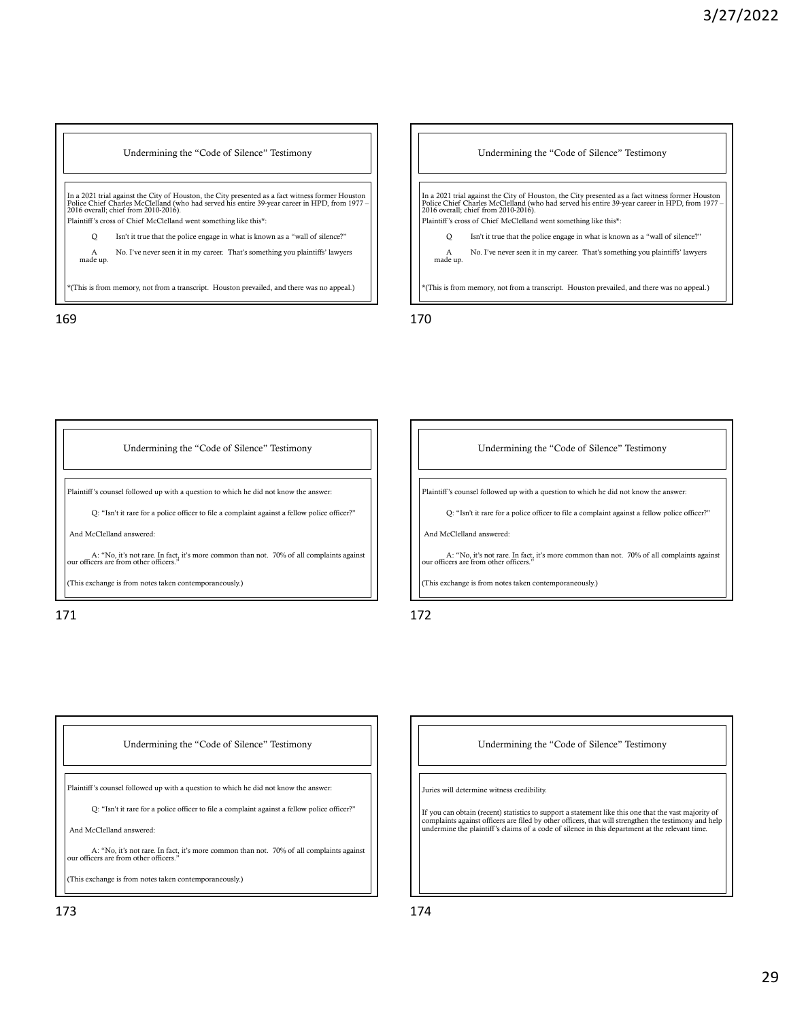

Undermining the "Code of Silence" Testimony Plaintiff's counsel followed up with a question to which he did not know the answer: Q: "Isn't it rare for a police officer to file a complaint against a fellow police officer?" And McClelland answered: A: "No, it's not rare. In fact, it's more common than not. 70% of all complaints against our officers are from other officers." (This exchange is from notes taken contemporaneously.)

171 172



Plaintiff's counsel followed up with a question to which he did not know the answer:

Q: "Isn't it rare for a police officer to file a complaint against a fellow police officer?"

And McClelland answered:

A: "No, it's not rare. In fact, it's more common than not. 70% of all complaints against our officers are from other officers."

(This exchange is from notes taken contemporaneously.)



Undermining the "Code of Silence" Testimony Plaintiff's counsel followed up with a question to which he did not know the answer: Q: "Isn't it rare for a police officer to file a complaint against a fellow police officer?" And McClelland answered: A: "No, it's not rare. In fact, it's more common than not. 70% of all complaints against our officers are from other officers." (This exchange is from notes taken contemporaneously.)

Undermining the "Code of Silence" Testimony

Juries will determine witness credibility.

If you can obtain (recent) statistics to support a statement like this one that the vast majority of complaints against officers are filed by other officers, that will strengthen the testimony and help undermine the plaintiff's claims of a code of silence in this department at the relevant time.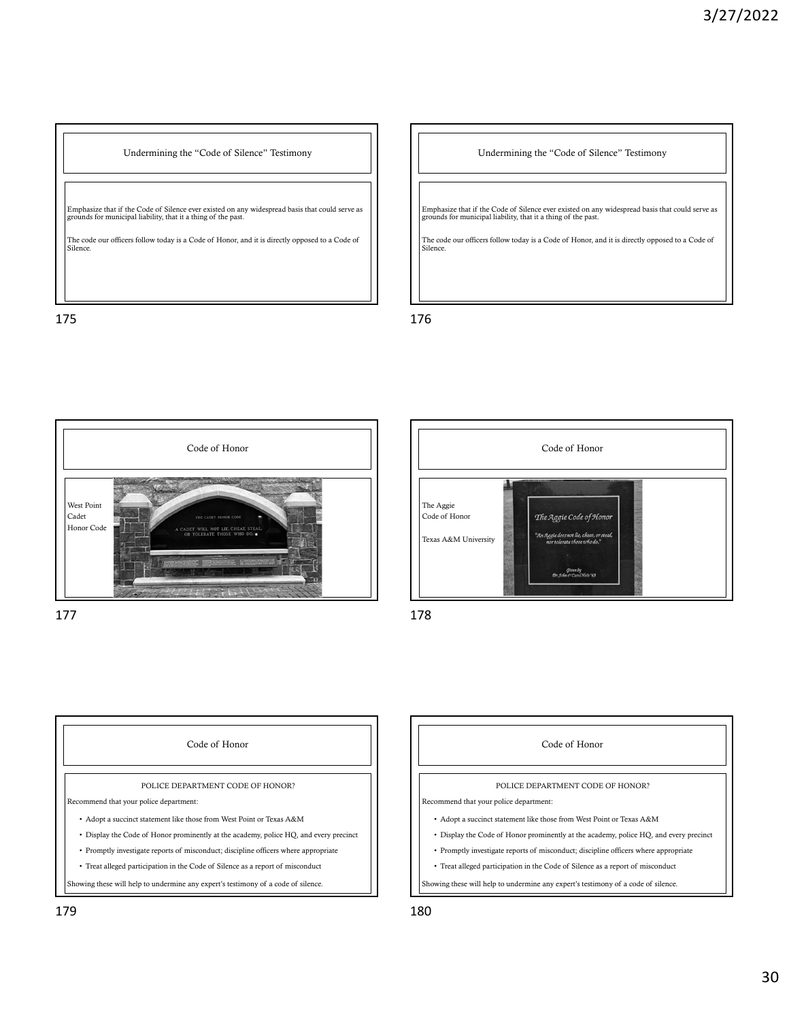Undermining the "Code of Silence" Testimony

Emphasize that if the Code of Silence ever existed on any widespread basis that could serve as grounds for municipal liability, that it a thing of the past.

The code our officers follow today is a Code of Honor, and it is directly opposed to a Code of Silence.

175 176

Undermining the "Code of Silence" Testimony

Emphasize that if the Code of Silence ever existed on any widespread basis that could serve as grounds for municipal liability, that it a thing of the past.

The code our officers follow today is a Code of Honor, and it is directly opposed to a Code of Silence.